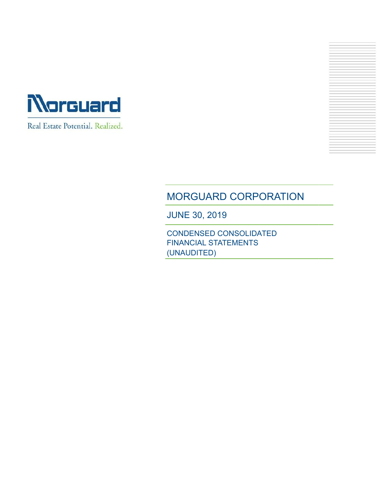



# MORGUARD CORPORATION

JUNE 30, 2019

CONDENSED CONSOLIDATED FINANCIAL STATEMENTS (UNAUDITED)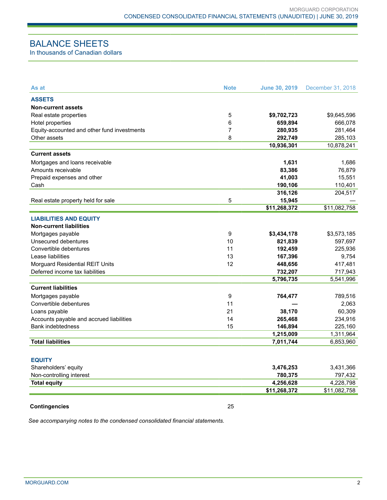# BALANCE SHEETS

In thousands of Canadian dollars

| As at                                       | <b>Note</b>    | <b>June 30, 2019</b> | December 31, 2018 |
|---------------------------------------------|----------------|----------------------|-------------------|
| <b>ASSETS</b>                               |                |                      |                   |
| <b>Non-current assets</b>                   |                |                      |                   |
| Real estate properties                      | 5              | \$9,702,723          | \$9,645,596       |
| Hotel properties                            | 6              | 659,894              | 666,078           |
| Equity-accounted and other fund investments | $\overline{7}$ | 280,935              | 281,464           |
| Other assets                                | 8              | 292,749              | 285,103           |
|                                             |                | 10,936,301           | 10,878,241        |
| <b>Current assets</b>                       |                |                      |                   |
| Mortgages and loans receivable              |                | 1,631                | 1,686             |
| Amounts receivable                          |                | 83,386               | 76,879            |
| Prepaid expenses and other                  |                | 41,003               | 15,551            |
| Cash                                        |                | 190,106              | 110,401           |
|                                             |                | 316,126              | 204,517           |
| Real estate property held for sale          | 5              | 15,945               |                   |
|                                             |                | \$11,268,372         | \$11,082,758      |
| <b>LIABILITIES AND EQUITY</b>               |                |                      |                   |
| <b>Non-current liabilities</b>              |                |                      |                   |
| Mortgages payable                           | 9              | \$3,434,178          | \$3,573,185       |
| Unsecured debentures                        | 10             | 821,839              | 597,697           |
| Convertible debentures                      | 11             | 192,459              | 225,936           |
| Lease liabilities                           | 13             | 167,396              | 9,754             |
| Morguard Residential REIT Units             | 12             | 448,656              | 417,481           |
| Deferred income tax liabilities             |                | 732,207              | 717,943           |
|                                             |                | 5,796,735            | 5,541,996         |
| <b>Current liabilities</b>                  |                |                      |                   |
|                                             |                |                      |                   |
| Mortgages payable                           | 9              | 764,477              | 789,516           |
| Convertible debentures                      | 11             |                      | 2.063             |
| Loans payable                               | 21             | 38,170               | 60,309            |
| Accounts payable and accrued liabilities    | 14             | 265,468              | 234,916           |
| Bank indebtedness                           | 15             | 146,894              | 225,160           |
|                                             |                | 1,215,009            | 1,311,964         |
| <b>Total liabilities</b>                    |                | 7,011,744            | 6,853,960         |
|                                             |                |                      |                   |
| <b>EQUITY</b>                               |                |                      |                   |
| Shareholders' equity                        |                | 3,476,253            | 3,431,366         |
| Non-controlling interest                    |                | 780,375              | 797,432           |
| <b>Total equity</b>                         |                | 4,256,628            | 4,228,798         |
|                                             |                | \$11,268,372         | \$11,082,758      |
|                                             |                |                      |                   |
| <b>Contingencies</b>                        | 25             |                      |                   |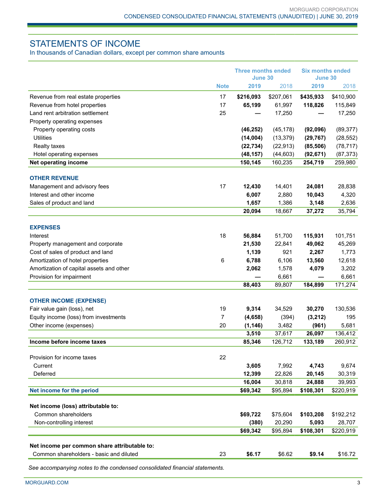# STATEMENTS OF INCOME

In thousands of Canadian dollars, except per common share amounts

|                                                                                         |             | <b>Three months ended</b><br>June 30 |           | <b>Six months ended</b><br>June 30 |           |
|-----------------------------------------------------------------------------------------|-------------|--------------------------------------|-----------|------------------------------------|-----------|
|                                                                                         | <b>Note</b> | 2019                                 | 2018      | 2019                               | 2018      |
| Revenue from real estate properties                                                     | 17          | \$216,093                            | \$207,061 | \$435,933                          | \$410,900 |
| Revenue from hotel properties                                                           | 17          | 65,199                               | 61,997    | 118,826                            | 115,849   |
| Land rent arbitration settlement                                                        | 25          |                                      | 17,250    |                                    | 17,250    |
| Property operating expenses                                                             |             |                                      |           |                                    |           |
| Property operating costs                                                                |             | (46, 252)                            | (45, 178) | (92,096)                           | (89, 377) |
| <b>Utilities</b>                                                                        |             | (14,004)                             | (13, 379) | (29, 767)                          | (28, 552) |
| Realty taxes                                                                            |             | (22, 734)                            | (22, 913) | (85, 506)                          | (78, 717) |
| Hotel operating expenses                                                                |             | (48, 157)                            | (44, 603) | (92, 671)                          | (87, 373) |
| Net operating income                                                                    |             | 150,145                              | 160,235   | 254,719                            | 259,980   |
| <b>OTHER REVENUE</b>                                                                    |             |                                      |           |                                    |           |
| Management and advisory fees                                                            | 17          | 12,430                               | 14,401    | 24,081                             | 28,838    |
| Interest and other income                                                               |             | 6,007                                | 2,880     | 10,043                             | 4,320     |
| Sales of product and land                                                               |             | 1,657                                | 1,386     | 3,148                              | 2,636     |
|                                                                                         |             | 20,094                               | 18,667    | 37,272                             | 35,794    |
| <b>EXPENSES</b>                                                                         |             |                                      |           |                                    |           |
| Interest                                                                                | 18          | 56,884                               | 51,700    | 115,931                            | 101,751   |
| Property management and corporate                                                       |             | 21,530                               | 22,841    | 49,062                             | 45,269    |
| Cost of sales of product and land                                                       |             | 1,139                                | 921       | 2,267                              | 1,773     |
| Amortization of hotel properties                                                        | 6           | 6,788                                | 6,106     | 13,560                             | 12,618    |
| Amortization of capital assets and other                                                |             | 2,062                                | 1,578     | 4,079                              | 3,202     |
| Provision for impairment                                                                |             |                                      | 6,661     |                                    | 6,661     |
|                                                                                         |             | 88,403                               | 89,807    | 184,899                            | 171,274   |
|                                                                                         |             |                                      |           |                                    |           |
| <b>OTHER INCOME (EXPENSE)</b>                                                           |             |                                      |           |                                    |           |
| Fair value gain (loss), net                                                             | 19          | 9,314                                | 34,529    | 30,270                             | 130,536   |
| Equity income (loss) from investments                                                   | 7           | (4,658)                              | (394)     | (3,212)                            | 195       |
| Other income (expenses)                                                                 | 20          | (1, 146)                             | 3,482     | (961)                              | 5,681     |
|                                                                                         |             | 3,510                                | 37,617    | 26,097                             | 136,412   |
| Income before income taxes                                                              |             | 85,346                               | 126,712   | 133,189                            | 260,912   |
| Provision for income taxes                                                              | 22          |                                      |           |                                    |           |
| Current                                                                                 |             | 3,605                                | 7,992     | 4,743                              | 9,674     |
| Deferred                                                                                |             | 12,399                               | 22,826    | 20,145                             | 30,319    |
|                                                                                         |             | 16,004                               | 30,818    | 24,888                             | 39,993    |
| Net income for the period                                                               |             | \$69,342                             | \$95,894  | \$108,301                          | \$220,919 |
| Net income (loss) attributable to:                                                      |             |                                      |           |                                    |           |
| Common shareholders                                                                     |             | \$69,722                             | \$75,604  | \$103,208                          | \$192,212 |
| Non-controlling interest                                                                |             | (380)                                | 20,290    | 5,093                              | 28,707    |
|                                                                                         |             | \$69,342                             | \$95,894  | \$108,301                          | \$220,919 |
|                                                                                         |             |                                      |           |                                    |           |
| Net income per common share attributable to:<br>Common shareholders - basic and diluted | 23          | \$6.17                               | \$6.62    | \$9.14                             | \$16.72   |
|                                                                                         |             |                                      |           |                                    |           |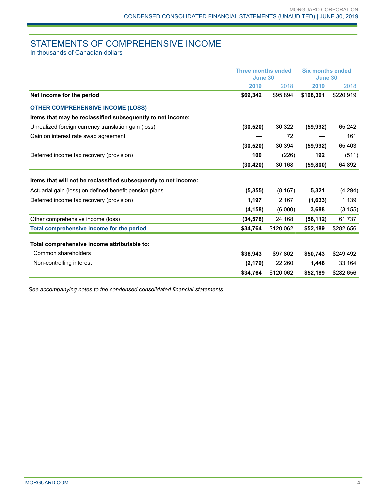# STATEMENTS OF COMPREHENSIVE INCOME

In thousands of Canadian dollars

|                                                                 | <b>Three months ended</b><br>June 30 |           | <b>Six months ended</b><br>June 30 |           |  |
|-----------------------------------------------------------------|--------------------------------------|-----------|------------------------------------|-----------|--|
|                                                                 | 2019                                 | 2018      | 2019                               | 2018      |  |
| Net income for the period                                       | \$69,342                             | \$95,894  | \$108,301                          | \$220,919 |  |
| <b>OTHER COMPREHENSIVE INCOME (LOSS)</b>                        |                                      |           |                                    |           |  |
| Items that may be reclassified subsequently to net income:      |                                      |           |                                    |           |  |
| Unrealized foreign currency translation gain (loss)             | (30, 520)                            | 30,322    | (59, 992)                          | 65,242    |  |
| Gain on interest rate swap agreement                            |                                      | 72        |                                    | 161       |  |
|                                                                 | (30, 520)                            | 30,394    | (59, 992)                          | 65,403    |  |
| Deferred income tax recovery (provision)                        | 100                                  | (226)     | 192                                | (511)     |  |
|                                                                 | (30, 420)                            | 30,168    | (59, 800)                          | 64,892    |  |
| Items that will not be reclassified subsequently to net income: |                                      |           |                                    |           |  |
| Actuarial gain (loss) on defined benefit pension plans          | (5, 355)                             | (8, 167)  | 5,321                              | (4, 294)  |  |
| Deferred income tax recovery (provision)                        | 1,197                                | 2,167     | (1,633)                            | 1,139     |  |
|                                                                 | (4, 158)                             | (6,000)   | 3,688                              | (3, 155)  |  |
| Other comprehensive income (loss)                               | (34, 578)                            | 24,168    | (56, 112)                          | 61,737    |  |
| Total comprehensive income for the period                       | \$34,764                             | \$120,062 | \$52,189                           | \$282,656 |  |
| Total comprehensive income attributable to:                     |                                      |           |                                    |           |  |
| Common shareholders                                             | \$36,943                             | \$97,802  | \$50,743                           | \$249,492 |  |
| Non-controlling interest                                        | (2, 179)                             | 22,260    | 1,446                              | 33,164    |  |
|                                                                 | \$34,764                             | \$120,062 | \$52,189                           | \$282,656 |  |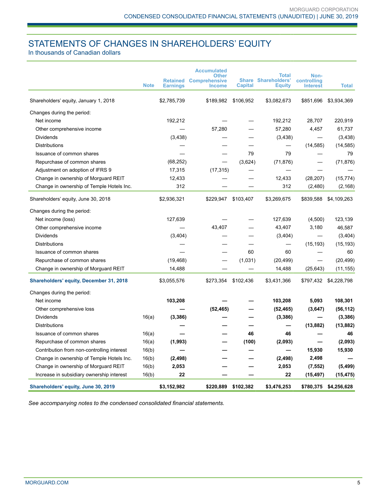# STATEMENTS OF CHANGES IN SHAREHOLDERS' EQUITY

In thousands of Canadian dollars

|                                                | <b>Note</b> |                 | <b>Accumulated</b><br><b>Other</b><br><b>Retained Comprehensive</b> |                | <b>Total</b><br><b>Share Shareholders'</b> | Non-<br>controlling |                       |
|------------------------------------------------|-------------|-----------------|---------------------------------------------------------------------|----------------|--------------------------------------------|---------------------|-----------------------|
|                                                |             | <b>Earnings</b> | <b>Income</b>                                                       | <b>Capital</b> | <b>Equity</b>                              | <b>Interest</b>     | <b>Total</b>          |
| Shareholders' equity, January 1, 2018          |             | \$2,785,739     | \$189,982                                                           | \$106,952      | \$3,082,673                                | \$851,696           | \$3,934,369           |
| Changes during the period:                     |             |                 |                                                                     |                |                                            |                     |                       |
| Net income                                     |             | 192,212         |                                                                     |                | 192,212                                    | 28,707              | 220,919               |
| Other comprehensive income                     |             |                 | 57,280                                                              |                | 57,280                                     | 4,457               | 61,737                |
| <b>Dividends</b>                               |             | (3, 438)        |                                                                     |                | (3,438)                                    | —                   | (3, 438)              |
| Distributions                                  |             |                 |                                                                     |                | —                                          | (14, 585)           | (14, 585)             |
| Issuance of common shares                      |             |                 |                                                                     | 79             | 79                                         | —                   | 79                    |
| Repurchase of common shares                    |             | (68, 252)       |                                                                     | (3,624)        | (71, 876)                                  |                     | (71, 876)             |
| Adjustment on adoption of IFRS 9               |             | 17,315          | (17, 315)                                                           |                |                                            |                     |                       |
| Change in ownership of Morguard REIT           |             | 12,433          |                                                                     |                | 12,433                                     | (28, 207)           | (15, 774)             |
| Change in ownership of Temple Hotels Inc.      |             | 312             |                                                                     |                | 312                                        | (2,480)             | (2, 168)              |
| Shareholders' equity, June 30, 2018            |             | \$2,936,321     | \$229,947                                                           | \$103,407      | \$3,269,675                                | \$839,588           | \$4,109,263           |
| Changes during the period:                     |             |                 |                                                                     |                |                                            |                     |                       |
| Net income (loss)                              |             | 127,639         |                                                                     |                | 127,639                                    | (4,500)             | 123,139               |
| Other comprehensive income                     |             |                 | 43,407                                                              |                | 43,407                                     | 3,180               | 46,587                |
| Dividends                                      |             | (3,404)         |                                                                     |                | (3,404)                                    |                     | (3,404)               |
| <b>Distributions</b>                           |             |                 |                                                                     |                |                                            | (15, 193)           | (15, 193)             |
| Issuance of common shares                      |             |                 |                                                                     | 60             | 60                                         |                     | 60                    |
| Repurchase of common shares                    |             | (19, 468)       |                                                                     | (1,031)        | (20, 499)                                  |                     | (20, 499)             |
| Change in ownership of Morguard REIT           |             | 14,488          |                                                                     |                | 14,488                                     | (25, 643)           | (11, 155)             |
| <b>Shareholders' equity, December 31, 2018</b> |             | \$3,055,576     | \$273,354                                                           | \$102,436      | \$3,431,366                                | \$797,432           | \$4,228,798           |
| Changes during the period:                     |             |                 |                                                                     |                |                                            |                     |                       |
| Net income                                     |             | 103,208         |                                                                     |                | 103,208                                    | 5,093               | 108,301               |
| Other comprehensive loss                       |             |                 | (52, 465)                                                           |                | (52, 465)                                  | (3,647)             | (56, 112)             |
| <b>Dividends</b>                               | 16(a)       | (3,386)         |                                                                     |                | (3, 386)                                   |                     | (3,386)               |
| Distributions                                  |             |                 |                                                                     |                |                                            | (13, 882)           | (13, 882)             |
| Issuance of common shares                      | 16(a)       |                 |                                                                     | 46             | 46                                         |                     | 46                    |
| Repurchase of common shares                    | 16(a)       | (1,993)         |                                                                     | (100)          | (2,093)                                    |                     | (2,093)               |
| Contribution from non-controlling interest     | 16(b)       |                 |                                                                     |                |                                            | 15,930              | 15,930                |
| Change in ownership of Temple Hotels Inc.      | 16(b)       | (2, 498)        |                                                                     |                | (2, 498)                                   | 2,498               |                       |
| Change in ownership of Morguard REIT           | 16(b)       | 2,053           |                                                                     |                | 2,053                                      | (7, 552)            | (5, 499)              |
| Increase in subsidiary ownership interest      | 16(b)       | 22              |                                                                     |                | 22                                         | (15, 497)           | (15, 475)             |
| Shareholders' equity, June 30, 2019            |             | \$3,152,982     | \$220,889                                                           | \$102,382      | \$3,476,253                                |                     | \$780,375 \$4,256,628 |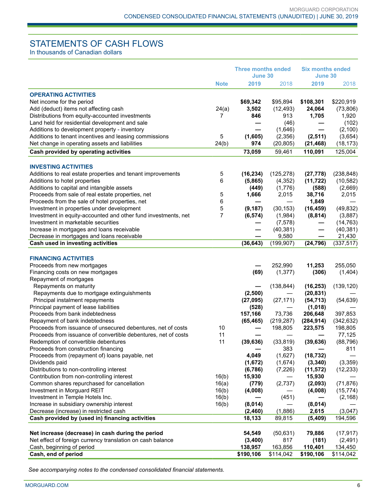# STATEMENTS OF CASH FLOWS

In thousands of Canadian dollars

|                                                                | <b>Three months ended</b><br>June 30 |           | <b>Six months ended</b><br>June 30 |            |            |
|----------------------------------------------------------------|--------------------------------------|-----------|------------------------------------|------------|------------|
|                                                                | <b>Note</b>                          | 2019      | 2018                               | 2019       | 2018       |
|                                                                |                                      |           |                                    |            |            |
| <b>OPERATING ACTIVITIES</b>                                    |                                      |           |                                    |            |            |
| Net income for the period                                      |                                      | \$69,342  | \$95,894                           | \$108,301  | \$220,919  |
| Add (deduct) items not affecting cash                          | 24(a)                                | 3,502     | (12, 493)                          | 24,064     | (73, 806)  |
| Distributions from equity-accounted investments                | 7                                    | 846       | 913                                | 1,705      | 1,920      |
| Land held for residential development and sale                 |                                      |           | (46)                               |            | (102)      |
| Additions to development property - inventory                  |                                      |           | (1,646)                            |            | (2, 100)   |
| Additions to tenant incentives and leasing commissions         | 5                                    | (1,605)   | (2,356)                            | (2, 511)   | (3,654)    |
| Net change in operating assets and liabilities                 | 24(b)                                | 974       | (20, 805)                          | (21, 468)  | (18, 173)  |
| Cash provided by operating activities                          |                                      | 73,059    | 59,461                             | 110,091    | 125,004    |
|                                                                |                                      |           |                                    |            |            |
| <b>INVESTING ACTIVITIES</b>                                    |                                      |           |                                    |            |            |
| Additions to real estate properties and tenant improvements    | 5                                    | (16, 234) | (125, 278)                         | (27, 778)  | (238, 848) |
| Additions to hotel properties                                  | 6                                    | (5,865)   | (4, 352)                           | (11, 722)  | (10, 582)  |
| Additions to capital and intangible assets                     |                                      | (449)     | (1,776)                            | (588)      | (2,669)    |
| Proceeds from sale of real estate properties, net              | 5                                    | 1,666     | 2,015                              | 38,716     | 2,015      |
| Proceeds from the sale of hotel properties, net                | 6                                    |           |                                    | 1,849      |            |
| Investment in properties under development                     | 5                                    | (9, 187)  | (30, 153)                          | (16, 459)  | (49, 832)  |
| Investment in equity-accounted and other fund investments, net | 7                                    | (6, 574)  | (1,984)                            | (8, 814)   | (3,887)    |
| Investment in marketable securities                            |                                      |           | (7, 578)                           |            | (14, 763)  |
| Increase in mortgages and loans receivable                     |                                      |           | (40, 381)                          |            | (40, 381)  |
| Decrease in mortgages and loans receivable                     |                                      |           | 9,580                              |            | 21,430     |
| Cash used in investing activities                              |                                      | (36, 643) | (199, 907)                         | (24, 796)  | (337, 517) |
| <b>FINANCING ACTIVITIES</b>                                    |                                      |           |                                    |            |            |
| Proceeds from new mortgages                                    |                                      |           | 252,990                            | 11,253     | 255,050    |
| Financing costs on new mortgages                               |                                      | (69)      | (1, 377)                           | (306)      | (1,404)    |
| Repayment of mortgages                                         |                                      |           |                                    |            |            |
| Repayments on maturity                                         |                                      |           | (138, 844)                         | (16, 253)  | (139, 120) |
| Repayments due to mortgage extinguishments                     |                                      | (2,500)   |                                    | (20, 831)  |            |
| Principal instalment repayments                                |                                      | (27, 095) | (27, 171)                          | (54, 713)  | (54, 639)  |
| Principal payment of lease liabilities                         |                                      | (528)     |                                    | (1,018)    |            |
| Proceeds from bank indebtedness                                |                                      | 157,166   | 73,736                             | 206,648    | 397,853    |
| Repayment of bank indebtedness                                 |                                      | (65, 465) | (219, 287)                         | (284, 914) | (342, 632) |
| Proceeds from issuance of unsecured debentures, net of costs   | 10                                   |           | 198,805                            | 223,575    | 198,805    |
| Proceeds from issuance of convertible debentures, net of costs | 11                                   |           |                                    |            | 77,125     |
| Redemption of convertible debentures                           | 11                                   | (39, 636) | (33, 819)                          | (39, 636)  | (88, 796)  |
| Proceeds from construction financing                           |                                      |           | 383                                |            | 811        |
| Proceeds from (repayment of) loans payable, net                |                                      | 4,049     | (1,627)                            | (18, 732)  |            |
| Dividends paid                                                 |                                      | (1,672)   | (1,674)                            | (3, 340)   | (3,359)    |
| Distributions to non-controlling interest                      |                                      | (6,786)   | (7, 226)                           | (11, 572)  | (12, 233)  |
| Contribution from non-controlling interest                     | 16(b)                                | 15,930    |                                    | 15,930     |            |
| Common shares repurchased for cancellation                     | 16(a)                                | (779)     | (2,737)                            | (2,093)    | (71, 876)  |
| Investment in Morguard REIT                                    | 16(b)                                | (4,008)   |                                    | (4,008)    | (15, 774)  |
| Investment in Temple Hotels Inc.                               | 16(b)                                |           | (451)                              |            | (2, 168)   |
| Increase in subsidiary ownership interest                      | 16(b)                                | (8,014)   |                                    | (8,014)    |            |
| Decrease (increase) in restricted cash                         |                                      | (2,460)   | (1,886)                            | 2,615      | (3,047)    |
| Cash provided by (used in) financing activities                |                                      | 18,133    | 89,815                             | (5,409)    | 194,596    |
|                                                                |                                      |           |                                    |            |            |
| Net increase (decrease) in cash during the period              |                                      | 54,549    | (50, 631)                          | 79,886     | (17, 917)  |
| Net effect of foreign currency translation on cash balance     |                                      | (3,400)   | 817                                | (181)      | (2, 491)   |
| Cash, beginning of period                                      |                                      | 138,957   | 163,856                            | 110,401    | 134,450    |
| Cash, end of period                                            |                                      | \$190,106 | \$114,042                          | \$190,106  | \$114,042  |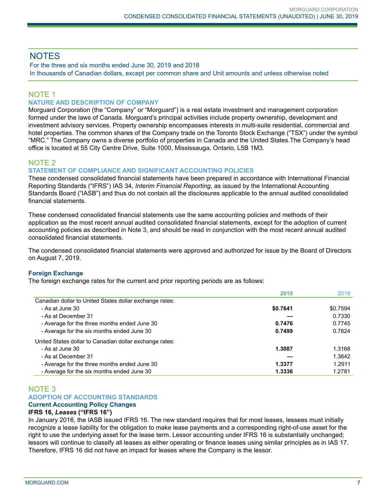# **NOTES**

For the three and six months ended June 30, 2019 and 2018 In thousands of Canadian dollars, except per common share and Unit amounts and unless otherwise noted

## NOTE 1

## **NATURE AND DESCRIPTION OF COMPANY**

Morguard Corporation (the "Company" or "Morguard") is a real estate investment and management corporation formed under the laws of Canada. Morguard's principal activities include property ownership, development and investment advisory services. Property ownership encompasses interests in multi-suite residential, commercial and hotel properties. The common shares of the Company trade on the Toronto Stock Exchange ("TSX") under the symbol "MRC." The Company owns a diverse portfolio of properties in Canada and the United States.The Company's head office is located at 55 City Centre Drive, Suite 1000, Mississauga, Ontario, L5B 1M3.

## NOTE 2

## **STATEMENT OF COMPLIANCE AND SIGNIFICANT ACCOUNTING POLICIES**

These condensed consolidated financial statements have been prepared in accordance with International Financial Reporting Standards ("IFRS") IAS 34, *Interim Financial Reporting*, as issued by the International Accounting Standards Board ("IASB") and thus do not contain all the disclosures applicable to the annual audited consolidated financial statements.

These condensed consolidated financial statements use the same accounting policies and methods of their application as the most recent annual audited consolidated financial statements, except for the adoption of current accounting policies as described in Note 3, and should be read in conjunction with the most recent annual audited consolidated financial statements.

The condensed consolidated financial statements were approved and authorized for issue by the Board of Directors on August 7, 2019.

## **Foreign Exchange**

The foreign exchange rates for the current and prior reporting periods are as follows:

|                                                         | 2019     | 2018     |
|---------------------------------------------------------|----------|----------|
| Canadian dollar to United States dollar exchange rates: |          |          |
| - As at June 30                                         | \$0.7641 | \$0.7594 |
| - As at December 31                                     |          | 0.7330   |
| - Average for the three months ended June 30            | 0.7476   | 0.7745   |
| - Average for the six months ended June 30              | 0.7499   | 0.7824   |
| United States dollar to Canadian dollar exchange rates: |          |          |
| - As at June 30                                         | 1.3087   | 1.3168   |
| - As at December 31                                     |          | 1.3642   |
| - Average for the three months ended June 30            | 1.3377   | 1.2911   |
| - Average for the six months ended June 30              | 1.3336   | 1.2781   |

## NOTE 3 **ADOPTION OF ACCOUNTING STANDARDS**

## **Current Accounting Policy Changes**

## **IFRS 16,** *Leases* **("IFRS 16")**

In January 2016, the IASB issued IFRS 16. The new standard requires that for most leases, lessees must initially recognize a lease liability for the obligation to make lease payments and a corresponding right-of-use asset for the right to use the underlying asset for the lease term. Lessor accounting under IFRS 16 is substantially unchanged; lessors will continue to classify all leases as either operating or finance leases using similar principles as in IAS 17. Therefore, IFRS 16 did not have an impact for leases where the Company is the lessor.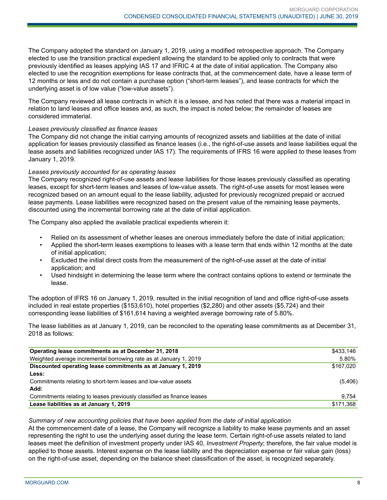The Company adopted the standard on January 1, 2019, using a modified retrospective approach. The Company elected to use the transition practical expedient allowing the standard to be applied only to contracts that were previously identified as leases applying IAS 17 and IFRIC 4 at the date of initial application. The Company also elected to use the recognition exemptions for lease contracts that, at the commencement date, have a lease term of 12 months or less and do not contain a purchase option ("short-term leases"), and lease contracts for which the underlying asset is of low value ("low-value assets").

The Company reviewed all lease contracts in which it is a lessee, and has noted that there was a material impact in relation to land leases and office leases and, as such, the impact is noted below; the remainder of leases are considered immaterial.

#### *Leases previously classified as finance leases*

The Company did not change the initial carrying amounts of recognized assets and liabilities at the date of initial application for leases previously classified as finance leases (i.e., the right-of-use assets and lease liabilities equal the lease assets and liabilities recognized under IAS 17). The requirements of IFRS 16 were applied to these leases from January 1, 2019.

#### *Leases previously accounted for as operating leases*

The Company recognized right-of-use assets and lease liabilities for those leases previously classified as operating leases, except for short-term leases and leases of low-value assets. The right-of-use assets for most leases were recognized based on an amount equal to the lease liability, adjusted for previously recognized prepaid or accrued lease payments. Lease liabilities were recognized based on the present value of the remaining lease payments, discounted using the incremental borrowing rate at the date of initial application.

The Company also applied the available practical expedients wherein it:

- Relied on its assessment of whether leases are onerous immediately before the date of initial application;
- Applied the short-term leases exemptions to leases with a lease term that ends within 12 months at the date of initial application;
- Excluded the initial direct costs from the measurement of the right-of-use asset at the date of initial application; and
- Used hindsight in determining the lease term where the contract contains options to extend or terminate the lease.

The adoption of IFRS 16 on January 1, 2019, resulted in the initial recognition of land and office right-of-use assets included in real estate properties (\$153,610), hotel properties (\$2,280) and other assets (\$5,724) and their corresponding lease liabilities of \$161,614 having a weighted average borrowing rate of 5.80%.

The lease liabilities as at January 1, 2019, can be reconciled to the operating lease commitments as at December 31, 2018 as follows:

| Operating lease commitments as at December 31, 2018                    | \$433,146 |
|------------------------------------------------------------------------|-----------|
| Weighted average incremental borrowing rate as at January 1, 2019      | 5.80%     |
| Discounted operating lease commitments as at January 1, 2019           | \$167,020 |
| Less:                                                                  |           |
| Commitments relating to short-term leases and low-value assets         | (5,406)   |
| Add:                                                                   |           |
| Commitments relating to leases previously classified as finance leases | 9.754     |
| Lease liabilities as at January 1, 2019                                | \$171,368 |

#### *Summary of new accounting policies that have been applied from the date of initial application*

At the commencement date of a lease, the Company will recognize a liability to make lease payments and an asset representing the right to use the underlying asset during the lease term. Certain right-of-use assets related to land leases meet the definition of investment property under IAS 40, *Investment Property*; therefore, the fair value model is applied to those assets. Interest expense on the lease liability and the depreciation expense or fair value gain (loss) on the right-of-use asset, depending on the balance sheet classification of the asset, is recognized separately.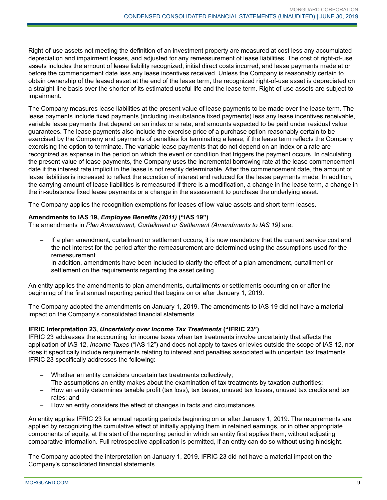Right-of-use assets not meeting the definition of an investment property are measured at cost less any accumulated depreciation and impairment losses, and adjusted for any remeasurement of lease liabilities. The cost of right-of-use assets includes the amount of lease liability recognized, initial direct costs incurred, and lease payments made at or before the commencement date less any lease incentives received. Unless the Company is reasonably certain to obtain ownership of the leased asset at the end of the lease term, the recognized right-of-use asset is depreciated on a straight-line basis over the shorter of its estimated useful life and the lease term. Right-of-use assets are subject to impairment.

The Company measures lease liabilities at the present value of lease payments to be made over the lease term. The lease payments include fixed payments (including in-substance fixed payments) less any lease incentives receivable, variable lease payments that depend on an index or a rate, and amounts expected to be paid under residual value guarantees. The lease payments also include the exercise price of a purchase option reasonably certain to be exercised by the Company and payments of penalties for terminating a lease, if the lease term reflects the Company exercising the option to terminate. The variable lease payments that do not depend on an index or a rate are recognized as expense in the period on which the event or condition that triggers the payment occurs. In calculating the present value of lease payments, the Company uses the incremental borrowing rate at the lease commencement date if the interest rate implicit in the lease is not readily determinable. After the commencement date, the amount of lease liabilities is increased to reflect the accretion of interest and reduced for the lease payments made. In addition, the carrying amount of lease liabilities is remeasured if there is a modification, a change in the lease term, a change in the in-substance fixed lease payments or a change in the assessment to purchase the underlying asset.

The Company applies the recognition exemptions for leases of low-value assets and short-term leases.

## **Amendments to IAS 19,** *Employee Benefits (2011)* **("IAS 19")**

The amendments in *Plan Amendment, Curtailment or Settlement (Amendments to IAS 19)* are:

- If a plan amendment, curtailment or settlement occurs, it is now mandatory that the current service cost and the net interest for the period after the remeasurement are determined using the assumptions used for the remeasurement.
- In addition, amendments have been included to clarify the effect of a plan amendment, curtailment or settlement on the requirements regarding the asset ceiling.

An entity applies the amendments to plan amendments, curtailments or settlements occurring on or after the beginning of the first annual reporting period that begins on or after January 1, 2019.

The Company adopted the amendments on January 1, 2019. The amendments to IAS 19 did not have a material impact on the Company's consolidated financial statements.

## **IFRIC Interpretation 23,** *Uncertainty over Income Tax Treatments* **("IFRIC 23")**

IFRIC 23 addresses the accounting for income taxes when tax treatments involve uncertainty that affects the application of IAS 12, *Income Taxes* ("IAS 12") and does not apply to taxes or levies outside the scope of IAS 12, nor does it specifically include requirements relating to interest and penalties associated with uncertain tax treatments. IFRIC 23 specifically addresses the following:

- Whether an entity considers uncertain tax treatments collectively;
- The assumptions an entity makes about the examination of tax treatments by taxation authorities;
- How an entity determines taxable profit (tax loss), tax bases, unused tax losses, unused tax credits and tax rates; and
- How an entity considers the effect of changes in facts and circumstances.

An entity applies IFRIC 23 for annual reporting periods beginning on or after January 1, 2019. The requirements are applied by recognizing the cumulative effect of initially applying them in retained earnings, or in other appropriate components of equity, at the start of the reporting period in which an entity first applies them, without adjusting comparative information. Full retrospective application is permitted, if an entity can do so without using hindsight.

The Company adopted the interpretation on January 1, 2019. IFRIC 23 did not have a material impact on the Company's consolidated financial statements.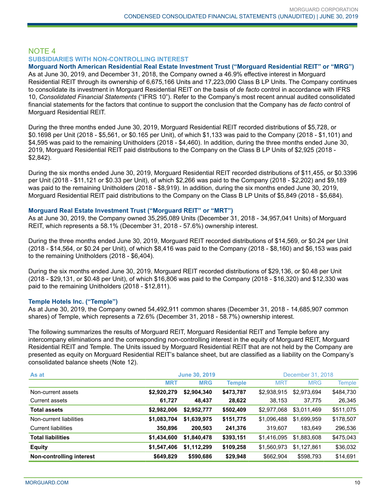## NOTE 4 **SUBSIDIARIES WITH NON-CONTROLLING INTEREST**

**Morguard North American Residential Real Estate Investment Trust ("Morguard Residential REIT" or "MRG")** As at June 30, 2019, and December 31, 2018, the Company owned a 46.9% effective interest in Morguard Residential REIT through its ownership of 6,675,166 Units and 17,223,090 Class B LP Units. The Company continues to consolidate its investment in Morguard Residential REIT on the basis of *de facto* control in accordance with IFRS 10, *Consolidated Financial Statements* ("IFRS 10"). Refer to the Company's most recent annual audited consolidated financial statements for the factors that continue to support the conclusion that the Company has *de facto* control of Morguard Residential REIT.

During the three months ended June 30, 2019, Morguard Residential REIT recorded distributions of \$5,728, or \$0.1698 per Unit (2018 - \$5,561, or \$0.165 per Unit), of which \$1,133 was paid to the Company (2018 - \$1,101) and \$4,595 was paid to the remaining Unitholders (2018 - \$4,460). In addition, during the three months ended June 30, 2019, Morguard Residential REIT paid distributions to the Company on the Class B LP Units of \$2,925 (2018 - \$2,842).

During the six months ended June 30, 2019, Morguard Residential REIT recorded distributions of \$11,455, or \$0.3396 per Unit (2018 - \$11,121 or \$0.33 per Unit), of which \$2,266 was paid to the Company (2018 - \$2,202) and \$9,189 was paid to the remaining Unitholders (2018 - \$8,919). In addition, during the six months ended June 30, 2019, Morguard Residential REIT paid distributions to the Company on the Class B LP Units of \$5,849 (2018 - \$5,684).

## **Morguard Real Estate Investment Trust ("Morguard REIT" or "MRT")**

As at June 30, 2019, the Company owned 35,295,089 Units (December 31, 2018 - 34,957,041 Units) of Morguard REIT, which represents a 58.1% (December 31, 2018 - 57.6%) ownership interest.

During the three months ended June 30, 2019, Morguard REIT recorded distributions of \$14,569, or \$0.24 per Unit (2018 - \$14,564, or \$0.24 per Unit), of which \$8,416 was paid to the Company (2018 - \$8,160) and \$6,153 was paid to the remaining Unitholders (2018 - \$6,404).

During the six months ended June 30, 2019, Morguard REIT recorded distributions of \$29,136, or \$0.48 per Unit (2018 - \$29,131, or \$0.48 per Unit), of which \$16,806 was paid to the Company (2018 - \$16,320) and \$12,330 was paid to the remaining Unitholders (2018 - \$12,811).

## **Temple Hotels Inc. ("Temple")**

As at June 30, 2019, the Company owned 54,492,911 common shares (December 31, 2018 - 14,685,907 common shares) of Temple, which represents a 72.6% (December 31, 2018 - 58.7%) ownership interest.

The following summarizes the results of Morguard REIT, Morguard Residential REIT and Temple before any intercompany eliminations and the corresponding non-controlling interest in the equity of Morguard REIT, Morguard Residential REIT and Temple. The Units issued by Morguard Residential REIT that are not held by the Company are presented as equity on Morguard Residential REIT's balance sheet, but are classified as a liability on the Company's consolidated balance sheets (Note 12).

| As at                    | <b>June 30, 2019</b> |             |               | December 31, 2018 |             |               |
|--------------------------|----------------------|-------------|---------------|-------------------|-------------|---------------|
|                          | <b>MRT</b>           | <b>MRG</b>  | <b>Temple</b> | <b>MRT</b>        | <b>MRG</b>  | <b>Temple</b> |
| Non-current assets       | \$2,920,279          | \$2,904,340 | \$473,787     | \$2,938,915       | \$2,973,694 | \$484,730     |
| Current assets           | 61,727               | 48,437      | 28,622        | 38,153            | 37,775      | 26,345        |
| <b>Total assets</b>      | \$2,982,006          | \$2,952,777 | \$502,409     | \$2,977,068       | \$3,011,469 | \$511,075     |
| Non-current liabilities  | \$1,083,704          | \$1,639,975 | \$151,775     | \$1,096,488       | \$1,699,959 | \$178,507     |
| Current liabilities      | 350,896              | 200,503     | 241,376       | 319.607           | 183.649     | 296,536       |
| <b>Total liabilities</b> | \$1,434,600          | \$1,840,478 | \$393,151     | \$1,416,095       | \$1,883,608 | \$475,043     |
| <b>Equity</b>            | \$1,547,406          | \$1,112,299 | \$109,258     | \$1,560,973       | \$1,127,861 | \$36,032      |
| Non-controlling interest | \$649,829            | \$590,686   | \$29,948      | \$662,904         | \$598,793   | \$14,691      |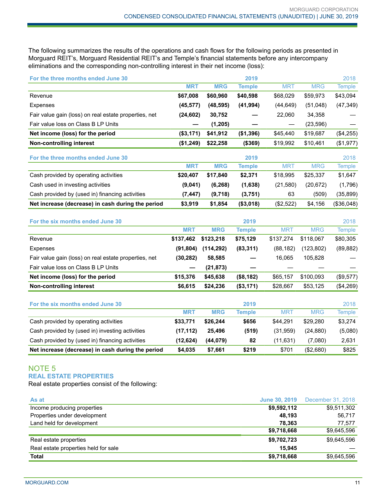The following summarizes the results of the operations and cash flows for the following periods as presented in Morguard REIT's, Morguard Residential REIT's and Temple's financial statements before any intercompany eliminations and the corresponding non-controlling interest in their net income (loss):

| For the three months ended June 30                    |            |            | 2019          |                      |            | 2018              |
|-------------------------------------------------------|------------|------------|---------------|----------------------|------------|-------------------|
|                                                       | <b>MRT</b> | <b>MRG</b> | <b>Temple</b> | <b>MRT</b>           | <b>MRG</b> | <b>Temple</b>     |
| Revenue                                               | \$67,008   | \$60,960   | \$40,598      | \$68,029             | \$59,973   | \$43,094          |
| <b>Expenses</b>                                       | (45, 577)  | (48, 595)  | (41, 994)     | (44, 649)            | (51,048)   | (47, 349)         |
| Fair value gain (loss) on real estate properties, net | (24, 602)  | 30,752     |               | 22,060               | 34,358     |                   |
| Fair value loss on Class B LP Units                   |            | (1, 205)   |               |                      | (23, 596)  |                   |
| Net income (loss) for the period                      | (\$3,171)  | \$41,912   | (\$1,396)     | \$45,440             | \$19,687   | (\$4,255)         |
| Non-controlling interest                              | (\$1,249)  | \$22,258   | (\$369)       | \$19,992             | \$10,461   | (\$1,977)         |
| For the three months ended June 30                    |            |            | 2019          |                      |            | 2018              |
|                                                       | <b>MRT</b> | <b>MRG</b> | <b>Temple</b> | <b>MRT</b>           | <b>MRG</b> | <b>Temple</b>     |
| Cash provided by operating activities                 | \$20,407   | \$17,840   | \$2,371       | \$18,995             | \$25,337   | \$1,647           |
| Cash used in investing activities                     | (9,041)    | (6, 268)   | (1,638)       | (21, 580)            | (20, 672)  | (1,796)           |
| Cash provided by (used in) financing activities       | (7, 447)   | (9,718)    | (3,751)       | 63                   | (509)      | (35, 899)         |
| Net increase (decrease) in cash during the period     | \$3,919    | \$1,854    | (\$3,018)     | (\$2,522)            | \$4,156    | (\$36,048)        |
|                                                       |            |            |               |                      |            |                   |
| For the six months ended June 30                      |            |            | 2019          |                      |            | 2018              |
|                                                       | <b>MRT</b> | <b>MRG</b> | <b>Temple</b> | <b>MRT</b>           | <b>MRG</b> | <b>Temple</b>     |
| Revenue                                               | \$137,462  | \$123,218  | \$75,129      | \$137,274            | \$118,067  | \$80,305          |
| Expenses                                              | (91, 804)  | (114, 292) | (83, 311)     | (88, 182)            | (123, 802) | (89, 882)         |
| Fair value gain (loss) on real estate properties, net | (30, 282)  | 58,585     |               | 16,065               | 105,828    |                   |
| Fair value loss on Class B LP Units                   |            | (21, 873)  |               |                      |            |                   |
| Net income (loss) for the period                      | \$15,376   | \$45,638   | (\$8,182)     | \$65,157             | \$100,093  | (\$9,577)         |
| Non-controlling interest                              | \$6,615    | \$24,236   | (\$3,171)     | \$28,667             | \$53,125   | $(\$4,269)$       |
| For the six months ended June 30                      |            |            | 2019          |                      |            | 2018              |
|                                                       | <b>MRT</b> | <b>MRG</b> | <b>Temple</b> | <b>MRT</b>           | <b>MRG</b> | <b>Temple</b>     |
| Cash provided by operating activities                 | \$33,771   | \$26,244   | \$656         | \$44,291             | \$29,280   | \$3,274           |
| Cash provided by (used in) investing activities       | (17, 112)  | 25,496     | (519)         | (31, 959)            | (24, 880)  | (5,080)           |
| Cash provided by (used in) financing activities       | (12, 624)  | (44, 079)  | 82            | (11, 631)            | (7,080)    | 2,631             |
| Net increase (decrease) in cash during the period     | \$4,035    | \$7,661    | \$219         | \$701                | (\$2,680)  | \$825             |
| <b>NOTE 5</b>                                         |            |            |               |                      |            |                   |
| <b>REAL ESTATE PROPERTIES</b>                         |            |            |               |                      |            |                   |
| Real estate properties consist of the following:      |            |            |               |                      |            |                   |
| As at                                                 |            |            |               | <b>June 30, 2019</b> |            | December 31, 2018 |

| <b>Total</b>                         | \$9,718,668            | \$9,645,596                       |
|--------------------------------------|------------------------|-----------------------------------|
| Real estate properties held for sale | 15.945                 |                                   |
| Real estate properties               | \$9,702,723            | \$9,645,596                       |
|                                      | \$9,718,668            | \$9,645,596                       |
| Land held for development            | 78.363                 | 77.577                            |
| Properties under development         | 48,193                 | 56,717                            |
| Income producing properties          | \$9,592,112            | \$9,511,302                       |
| As at                                | <b>JUILE JU. ZU IJ</b> | <b>DEPETITION</b> 01. <b>CUTO</b> |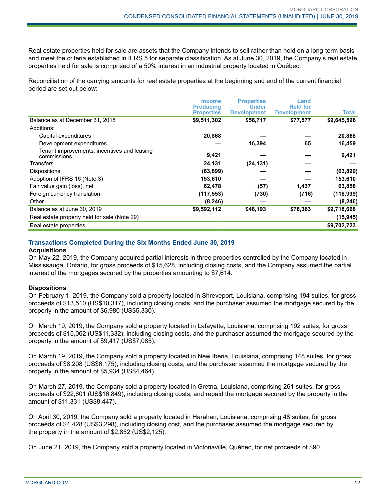Real estate properties held for sale are assets that the Company intends to sell rather than hold on a long-term basis and meet the criteria established in IFRS 5 for separate classification. As at June 30, 2019, the Company's real estate properties held for sale is comprised of a 50% interest in an industrial property located in Québec.

Reconciliation of the carrying amounts for real estate properties at the beginning and end of the current financial period are set out below:

|                                                            | <b>Income</b>     | <b>Properties</b>  | Land               |              |
|------------------------------------------------------------|-------------------|--------------------|--------------------|--------------|
|                                                            | <b>Producing</b>  | <b>Under</b>       | <b>Held for</b>    |              |
|                                                            | <b>Properties</b> | <b>Development</b> | <b>Development</b> | <b>Total</b> |
| Balance as at December 31, 2018                            | \$9,511,302       | \$56,717           | \$77,577           | \$9,645,596  |
| Additions:                                                 |                   |                    |                    |              |
| Capital expenditures                                       | 20,868            |                    |                    | 20,868       |
| Development expenditures                                   |                   | 16,394             | 65                 | 16,459       |
| Tenant improvements, incentives and leasing<br>commissions | 9,421             |                    |                    | 9,421        |
| Transfers                                                  | 24,131            | (24, 131)          |                    |              |
| <b>Dispositions</b>                                        | (63, 899)         |                    |                    | (63, 899)    |
| Adoption of IFRS 16 (Note 3)                               | 153,610           |                    |                    | 153,610      |
| Fair value gain (loss), net                                | 62,478            | (57)               | 1,437              | 63,858       |
| Foreign currency translation                               | (117, 553)        | (730)              | (716)              | (118,999)    |
| Other                                                      | (8, 246)          |                    |                    | (8, 246)     |
| Balance as at June 30, 2019                                | \$9,592,112       | \$48,193           | \$78,363           | \$9,718,668  |
| Real estate property held for sale (Note 29)               |                   |                    |                    | (15, 945)    |
| Real estate properties                                     |                   |                    |                    | \$9,702,723  |

## **Transactions Completed During the Six Months Ended June 30, 2019**

#### **Acquisitions**

On May 22, 2019, the Company acquired partial interests in three properties controlled by the Company located in Mississauga, Ontario, for gross proceeds of \$15,628, including closing costs, and the Company assumed the partial interest of the mortgages secured by the properties amounting to \$7,614.

## **Dispositions**

On February 1, 2019, the Company sold a property located in Shreveport, Louisiana, comprising 194 suites, for gross proceeds of \$13,510 (US\$10,317), including closing costs, and the purchaser assumed the mortgage secured by the property in the amount of \$6,980 (US\$5,330).

On March 19, 2019, the Company sold a property located in Lafayette, Louisiana, comprising 192 suites, for gross proceeds of \$15,062 (US\$11,332), including closing costs, and the purchaser assumed the mortgage secured by the property in the amount of \$9,417 (US\$7,085).

On March 19, 2019, the Company sold a property located in New Iberia, Louisiana, comprising 148 suites, for gross proceeds of \$8,208 (US\$6,175), including closing costs, and the purchaser assumed the mortgage secured by the property in the amount of \$5,934 (US\$4,464).

On March 27, 2019, the Company sold a property located in Gretna, Louisiana, comprising 261 suites, for gross proceeds of \$22,601 (US\$16,849), including closing costs, and repaid the mortgage secured by the property in the amount of \$11,331 (US\$8,447).

On April 30, 2019, the Company sold a property located in Harahan, Louisiana, comprising 48 suites, for gross proceeds of \$4,428 (US\$3,298), including closing cost, and the purchaser assumed the mortgage secured by the property in the amount of \$2,852 (US\$2,125).

On June 21, 2019, the Company sold a property located in Victoriaville, Québec, for net proceeds of \$90.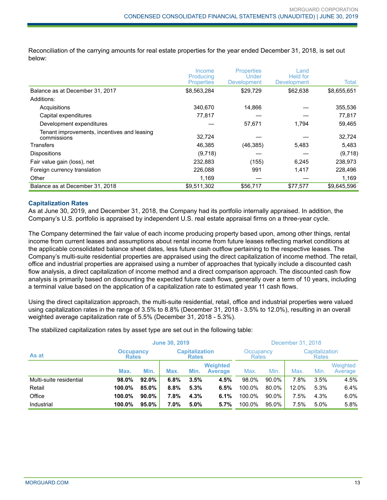Reconciliation of the carrying amounts for real estate properties for the year ended December 31, 2018, is set out below:

|                                                            | Income                         | <b>Properties</b><br>Under | Land<br><b>Held for</b> |             |
|------------------------------------------------------------|--------------------------------|----------------------------|-------------------------|-------------|
|                                                            | Producing<br><b>Properties</b> | <b>Development</b>         | <b>Development</b>      | Total       |
| Balance as at December 31, 2017                            | \$8,563,284                    | \$29,729                   | \$62,638                | \$8,655,651 |
| Additions:                                                 |                                |                            |                         |             |
| Acquisitions                                               | 340.670                        | 14,866                     |                         | 355,536     |
| Capital expenditures                                       | 77,817                         |                            |                         | 77,817      |
| Development expenditures                                   |                                | 57,671                     | 1.794                   | 59,465      |
| Tenant improvements, incentives and leasing<br>commissions | 32,724                         |                            |                         | 32,724      |
| Transfers                                                  | 46,385                         | (46, 385)                  | 5,483                   | 5,483       |
| <b>Dispositions</b>                                        | (9,718)                        |                            |                         | (9,718)     |
| Fair value gain (loss), net                                | 232,883                        | (155)                      | 6,245                   | 238,973     |
| Foreign currency translation                               | 226.088                        | 991                        | 1,417                   | 228,496     |
| Other                                                      | 1,169                          |                            |                         | 1,169       |
| Balance as at December 31, 2018                            | \$9,511,302                    | \$56,717                   | \$77.577                | \$9.645.596 |

#### **Capitalization Rates**

As at June 30, 2019, and December 31, 2018, the Company had its portfolio internally appraised. In addition, the Company's U.S. portfolio is appraised by independent U.S. real estate appraisal firms on a three-year cycle.

The Company determined the fair value of each income producing property based upon, among other things, rental income from current leases and assumptions about rental income from future leases reflecting market conditions at the applicable consolidated balance sheet dates, less future cash outflow pertaining to the respective leases. The Company's multi-suite residential properties are appraised using the direct capitalization of income method. The retail, office and industrial properties are appraised using a number of approaches that typically include a discounted cash flow analysis, a direct capitalization of income method and a direct comparison approach. The discounted cash flow analysis is primarily based on discounting the expected future cash flows, generally over a term of 10 years, including a terminal value based on the application of a capitalization rate to estimated year 11 cash flows.

Using the direct capitalization approach, the multi-suite residential, retail, office and industrial properties were valued using capitalization rates in the range of 3.5% to 8.8% (December 31, 2018 - 3.5% to 12.0%), resulting in an overall weighted average capitalization rate of 5.5% (December 31, 2018 - 5.3%).

The stabilized capitalization rates by asset type are set out in the following table:

|                         |                                  | <b>June 30, 2019</b> |                                       |      |                                   | December 31, 2018 |       |                                |      |                     |
|-------------------------|----------------------------------|----------------------|---------------------------------------|------|-----------------------------------|-------------------|-------|--------------------------------|------|---------------------|
| As at                   | <b>Occupancy</b><br><b>Rates</b> |                      | <b>Capitalization</b><br><b>Rates</b> |      | Occupancy<br>Rates                |                   |       | Capitalization<br><b>Rates</b> |      |                     |
|                         | Max.                             | Min.                 | Max.                                  | Min. | <b>Weighted</b><br><b>Average</b> | Max.              | Min.  | Max.                           | Min. | Weighted<br>Average |
| Multi-suite residential | 98.0%                            | 92.0%                | 6.8%                                  | 3.5% | 4.5%                              | 98.0%             | 90.0% | 7.8%                           | 3.5% | 4.5%                |
| Retail                  | 100.0%                           | 85.0%                | 8.8%                                  | 5.3% | 6.5%                              | 100.0%            | 80.0% | 12.0%                          | 5.3% | 6.4%                |
| Office                  | 100.0%                           | $90.0\%$             | 7.8%                                  | 4.3% | 6.1%                              | 100.0%            | 90.0% | 7.5%                           | 4.3% | 6.0%                |
| Industrial              | 100.0%                           | $95.0\%$             | $7.0\%$                               | 5.0% | 5.7%                              | 100.0%            | 95.0% | 7.5%                           | 5.0% | 5.8%                |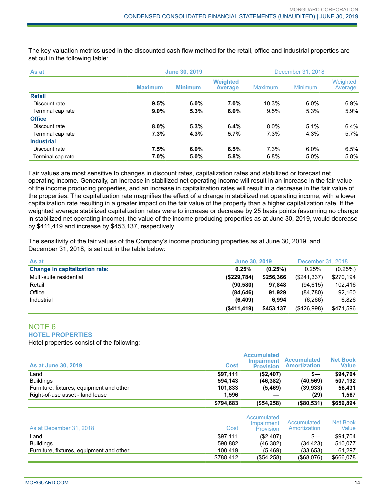The key valuation metrics used in the discounted cash flow method for the retail, office and industrial properties are set out in the following table:

| As at             | <b>June 30, 2019</b> |                |                                   | December 31, 2018 |                |                     |  |
|-------------------|----------------------|----------------|-----------------------------------|-------------------|----------------|---------------------|--|
|                   | <b>Maximum</b>       | <b>Minimum</b> | <b>Weighted</b><br><b>Average</b> | <b>Maximum</b>    | <b>Minimum</b> | Weighted<br>Average |  |
| <b>Retail</b>     |                      |                |                                   |                   |                |                     |  |
| Discount rate     | 9.5%                 | $6.0\%$        | 7.0%                              | 10.3%             | $6.0\%$        | $6.9\%$             |  |
| Terminal cap rate | 9.0%                 | 5.3%           | 6.0%                              | 9.5%              | 5.3%           | 5.9%                |  |
| <b>Office</b>     |                      |                |                                   |                   |                |                     |  |
| Discount rate     | $8.0\%$              | 5.3%           | 6.4%                              | 8.0%              | 5.1%           | 6.4%                |  |
| Terminal cap rate | 7.3%                 | 4.3%           | 5.7%                              | 7.3%              | 4.3%           | 5.7%                |  |
| <b>Industrial</b> |                      |                |                                   |                   |                |                     |  |
| Discount rate     | 7.5%                 | $6.0\%$        | 6.5%                              | 7.3%              | $6.0\%$        | 6.5%                |  |
| Terminal cap rate | 7.0%                 | 5.0%           | 5.8%                              | 6.8%              | 5.0%           | 5.8%                |  |

Fair values are most sensitive to changes in discount rates, capitalization rates and stabilized or forecast net operating income. Generally, an increase in stabilized net operating income will result in an increase in the fair value of the income producing properties, and an increase in capitalization rates will result in a decrease in the fair value of the properties. The capitalization rate magnifies the effect of a change in stabilized net operating income, with a lower capitalization rate resulting in a greater impact on the fair value of the property than a higher capitalization rate. If the weighted average stabilized capitalization rates were to increase or decrease by 25 basis points (assuming no change in stabilized net operating income), the value of the income producing properties as at June 30, 2019, would decrease by \$411,419 and increase by \$453,137, respectively.

The sensitivity of the fair values of the Company's income producing properties as at June 30, 2019, and December 31, 2018, is set out in the table below:

| As at                                 | <b>June 30, 2019</b> | December 31, 2018 |             |           |
|---------------------------------------|----------------------|-------------------|-------------|-----------|
| <b>Change in capitalization rate:</b> | 0.25%                | (0.25%)           | 0.25%       | (0.25%)   |
| Multi-suite residential               | (\$229,784)          | \$256,366         | (\$241.337) | \$270,194 |
| Retail                                | (90, 580)            | 97.848            | (94.615)    | 102.416   |
| Office                                | (84, 646)            | 91.929            | (84,780)    | 92.160    |
| Industrial                            | (6, 409)             | 6.994             | (6, 266)    | 6.826     |
|                                       | (\$411,419)          | \$453,137         | (S426.998)  | \$471,596 |

#### NOTE 6 **HOTEL PROPERTIES**

Hotel properties consist of the following:

| <b>As at June 30, 2019</b>               | <b>Cost</b> | <b>Accumulated</b><br><b>Impairment</b><br><b>Provision</b> | <b>Accumulated</b><br><b>Amortization</b> | <b>Net Book</b><br>Value |
|------------------------------------------|-------------|-------------------------------------------------------------|-------------------------------------------|--------------------------|
| Land                                     | \$97,111    | (\$2,407)                                                   | s—                                        | \$94.704                 |
| <b>Buildings</b>                         | 594.143     | (46, 382)                                                   | (40, 569)                                 | 507.192                  |
| Furniture, fixtures, equipment and other | 101,833     | (5, 469)                                                    | (39, 933)                                 | 56,431                   |
| Right-of-use asset - land lease          | 1.596       |                                                             | (29)                                      | 1.567                    |
|                                          | \$794,683   | (\$54,258)                                                  | (\$80,531)                                | \$659,894                |

| As at December 31, 2018                  | Cost      | Accumulated<br>Impairment<br>Provision | Accumulated<br>Amortization | Net Book<br>Value |
|------------------------------------------|-----------|----------------------------------------|-----------------------------|-------------------|
| Land                                     | \$97,111  | (\$2,407)                              | $s-$                        | \$94.704          |
| <b>Buildings</b>                         | 590.882   | (46, 382)                              | (34.423)                    | 510.077           |
| Furniture, fixtures, equipment and other | 100,419   | (5.469)                                | (33,653)                    | 61.297            |
|                                          | \$788.412 | $(\$54,258)$                           | $($ \$68,076)               | \$666,078         |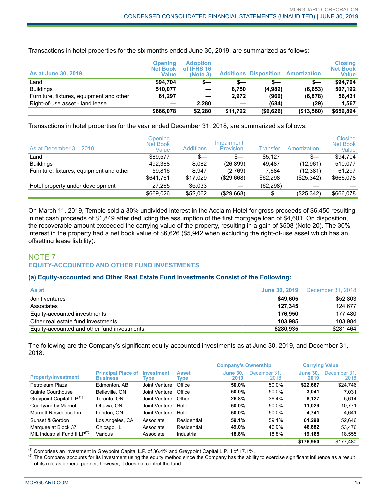| As at June 30, 2019                      | <b>Opening</b><br><b>Net Book</b><br>Value | <b>Adoption</b><br>of IFRS 16<br>(Note 3) |          | <b>Additions Disposition</b> | <b>Amortization</b> | <b>Closing</b><br><b>Net Book</b><br><b>Value</b> |
|------------------------------------------|--------------------------------------------|-------------------------------------------|----------|------------------------------|---------------------|---------------------------------------------------|
| Land                                     | \$94.704                                   | s—                                        | s—       | s—                           | s—                  | \$94,704                                          |
| <b>Buildings</b>                         | 510.077                                    |                                           | 8.750    | (4,982)                      | (6, 653)            | 507,192                                           |
| Furniture, fixtures, equipment and other | 61,297                                     |                                           | 2.972    | (960)                        | (6, 878)            | 56,431                                            |
| Right-of-use asset - land lease          |                                            | 2.280                                     |          | (684)                        | (29)                | 1,567                                             |
|                                          | \$666,078                                  | \$2.280                                   | \$11.722 | ( \$6,626)                   | (\$13,560)          | \$659,894                                         |

Transactions in hotel properties for the six months ended June 30, 2019, are summarized as follows:

Transactions in hotel properties for the year ended December 31, 2018, are summarized as follows:

| As at December 31, 2018                  | Opening<br><b>Net Book</b><br>Value | <b>Additions</b> | Impairment<br><b>Provision</b> | Transfer  | Amortization | Closing<br><b>Net Book</b><br>Value |
|------------------------------------------|-------------------------------------|------------------|--------------------------------|-----------|--------------|-------------------------------------|
| Land                                     | \$89.577                            | $s-$             | s—                             | \$5.127   | $s-$         | \$94,704                            |
| <b>Buildings</b>                         | 492.368                             | 8.082            | (26,899)                       | 49.487    | (12,961)     | 510.077                             |
| Furniture, fixtures, equipment and other | 59,816                              | 8.947            | (2,769)                        | 7.684     | (12,381)     | 61,297                              |
|                                          | \$641.761                           | \$17.029         | ( \$29,668)                    | \$62,298  | (\$25,342)   | \$666,078                           |
| Hotel property under development         | 27.265                              | 35.033           |                                | (62, 298) |              |                                     |
|                                          | \$669,026                           | \$52,062         | (\$29,668)                     | s—        | (\$25,342)   | \$666.078                           |

On March 11, 2019, Temple sold a 30% undivided interest in the Acclaim Hotel for gross proceeds of \$6,450 resulting in net cash proceeds of \$1,849 after deducting the assumption of the first mortgage loan of \$4,601. On disposition, the recoverable amount exceeded the carrying value of the property, resulting in a gain of \$508 (Note 20). The 30% interest in the property had a net book value of \$6,626 (\$5,942 when excluding the right-of-use asset which has an offsetting lease liability).

## NOTE 7 **EQUITY-ACCOUNTED AND OTHER FUND INVESTMENTS**

## **(a) Equity-accounted and Other Real Estate Fund Investments Consist of the Following:**

| As at                                       | <b>June 30, 2019</b> | December 31, 2018 |
|---------------------------------------------|----------------------|-------------------|
| Joint ventures                              | \$49.605             | \$52,803          |
| Associates                                  | 127.345              | 124.677           |
| Equity-accounted investments                | 176.950              | 177.480           |
| Other real estate fund investments          | 103.985              | 103.984           |
| Equity-accounted and other fund investments | \$280,935            | \$281,464         |

The following are the Company's significant equity-accounted investments as at June 30, 2019, and December 31, 2018:

|                                       |                                              |                           | <b>Company's Ownership</b> |                         | <b>Carrying Value</b> |                         |                      |
|---------------------------------------|----------------------------------------------|---------------------------|----------------------------|-------------------------|-----------------------|-------------------------|----------------------|
| <b>Property/Investment</b>            | <b>Principal Place of</b><br><b>Business</b> | <b>Investment</b><br>Type | <b>Asset</b><br>Type       | <b>June 30.</b><br>2019 | December 31.<br>2018  | <b>June 30.</b><br>2019 | December 31.<br>2018 |
| Petroleum Plaza                       | Edmonton, AB                                 | Joint Venture             | Office                     | 50.0%                   | 50.0%                 | \$22,667                | \$24,746             |
| Quinte Courthouse                     | Belleville, ON                               | Joint Venture             | Office                     | 50.0%                   | 50.0%                 | 3.041                   | 7.031                |
| Greypoint Capital L.P. <sup>(1)</sup> | Toronto, ON                                  | Joint Venture             | Other                      | 26.8%                   | 36.4%                 | 8.127                   | 5.614                |
| Courtyard by Marriott                 | Ottawa, ON                                   | Joint Venture             | Hotel                      | 50.0%                   | 50.0%                 | 11.029                  | 10.771               |
| Marriott Residence Inn                | London, ON                                   | Joint Venture             | Hotel                      | 50.0%                   | 50.0%                 | 4.741                   | 4.641                |
| Sunset & Gordon                       | Los Angeles, CA                              | Associate                 | Residential                | 59.1%                   | 59.1%                 | 61.298                  | 52.646               |
| Marquee at Block 37                   | Chicago, IL                                  | Associate                 | Residential                | 49.0%                   | 49.0%                 | 46.882                  | 53.476               |
| MIL Industrial Fund II $LP^{(2)}$     | Various                                      | Associate                 | Industrial                 | 18.8%                   | 18.8%                 | 19,165                  | 18.555               |
|                                       |                                              |                           |                            |                         |                       | \$176.950               | \$177.480            |

 $<sup>(1)</sup>$  Comprises an investment in Greypoint Capital L.P. of 36.4% and Greypoint Capital L.P. II of 17.1%.</sup>

 $^{(2)}$  The Company accounts for its investment using the equity method since the Company has the ability to exercise significant influence as a result of its role as general partner; however, it does not control the fund.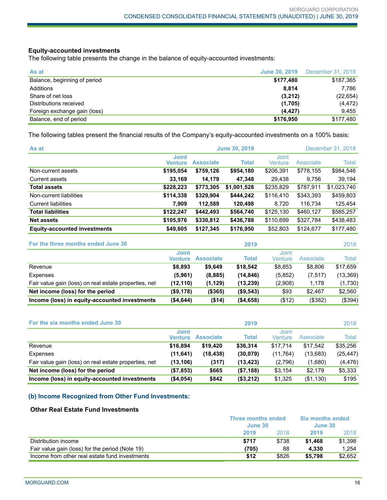## **Equity-accounted investments**

The following table presents the change in the balance of equity-accounted investments:

| As at                        |           | <b>June 30, 2019</b> December 31, 2018 |
|------------------------------|-----------|----------------------------------------|
| Balance, beginning of period | \$177,480 | \$187,365                              |
| Additions                    | 8.814     | 7,786                                  |
| Share of net loss            | (3,212)   | (22, 654)                              |
| Distributions received       | (1,705)   | (4, 472)                               |
| Foreign exchange gain (loss) | (4, 427)  | 9,455                                  |
| Balance, end of period       | \$176,950 | \$177,480                              |

The following tables present the financial results of the Company's equity-accounted investments on a 100% basis:

| As at                               |                         |                  | <b>June 30, 2019</b> |                         |           | December 31, 2018 |
|-------------------------------------|-------------------------|------------------|----------------------|-------------------------|-----------|-------------------|
|                                     | <b>Joint</b><br>Venture | <b>Associate</b> | Total                | <b>Joint</b><br>Venture | Associate | Total             |
| Non-current assets                  | \$195,054               | \$759,126        | \$954,180            | \$206,391               | \$778,155 | \$984,546         |
| Current assets                      | 33,169                  | 14,179           | 47,348               | 29.438                  | 9.756     | 39,194            |
| <b>Total assets</b>                 | \$228,223               | \$773,305        | \$1,001,528          | \$235,829               | \$787,911 | \$1,023,740       |
| Non-current liabilities             | \$114,338               | \$329,904        | \$444,242            | \$116,410               | \$343,393 | \$459,803         |
| <b>Current liabilities</b>          | 7,909                   | 112,589          | 120,498              | 8,720                   | 116,734   | 125,454           |
| <b>Total liabilities</b>            | \$122,247               | \$442.493        | \$564,740            | \$125,130               | \$460,127 | \$585,257         |
| <b>Net assets</b>                   | \$105,976               | \$330,812        | \$436,788            | \$110,699               | \$327,784 | \$438,483         |
| <b>Equity-accounted investments</b> | \$49,605                | \$127,345        | \$176,950            | \$52,803                | \$124,677 | \$177,480         |

| For the three months ended June 30                    |                         |                  | 2019         |                  |            | 2018      |
|-------------------------------------------------------|-------------------------|------------------|--------------|------------------|------------|-----------|
|                                                       | <b>Joint</b><br>Venture | <b>Associate</b> | <b>Total</b> | Joint<br>Venture | Associate  | Total     |
| Revenue                                               | \$8,893                 | \$9.649          | \$18.542     | \$8,853          | \$8,806    | \$17.659  |
| Expenses                                              | (5,961)                 | (8,885)          | (14, 846)    | (5,852)          | (7, 517)   | (13, 369) |
| Fair value gain (loss) on real estate properties, net | (12, 110)               | (1, 129)         | (13, 239)    | (2,908)          | 1,178      | (1,730)   |
| Net income (loss) for the period                      | ( \$9,178)              | (\$365)          | (\$9,543)    | \$93             | \$2.467    | \$2,560   |
| Income (loss) in equity-accounted investments         | (\$4,644)               | ( \$14)          | ( \$4,658)   | ( \$12)          | $($ \$382) | (\$394)   |

| For the six months ended June 30                      |                         |                  | 2019         |                  |           | 2018      |
|-------------------------------------------------------|-------------------------|------------------|--------------|------------------|-----------|-----------|
|                                                       | <b>Joint</b><br>Venture | <b>Associate</b> | <b>Total</b> | Joint<br>Venture | Associate | Total     |
| Revenue                                               | \$16.894                | \$19.420         | \$36,314     | \$17,714         | \$17.542  | \$35,256  |
| Expenses                                              | (11, 641)               | (18, 438)        | (30,079)     | (11,764)         | (13,683)  | (25, 447) |
| Fair value gain (loss) on real estate properties, net | (13, 106)               | (317)            | (13, 423)    | (2,796)          | (1,680)   | (4, 476)  |
| Net income (loss) for the period                      | (\$7,853)               | \$665            | (\$7,188)    | \$3,154          | \$2,179   | \$5,333   |
| Income (loss) in equity-accounted investments         | (\$4,054)               | \$842            | (\$3,212)    | \$1,325          | (\$1,130) | \$195     |

## **(b) Income Recognized from Other Fund Investments:**

## **Other Real Estate Fund Investments**

|                                                 | <b>Three months ended</b><br>June 30 |       | <b>Six months ended</b><br>June 30 |         |
|-------------------------------------------------|--------------------------------------|-------|------------------------------------|---------|
|                                                 | 2019                                 | 2018  | 2019                               | 2018    |
| Distribution income                             | \$717                                | \$738 | \$1.468                            | \$1.398 |
| Fair value gain (loss) for the period (Note 19) | (705)                                | 88    | 4.330                              | 1.254   |
| Income from other real estate fund investments  | \$12                                 | \$826 | \$5,798                            | \$2.652 |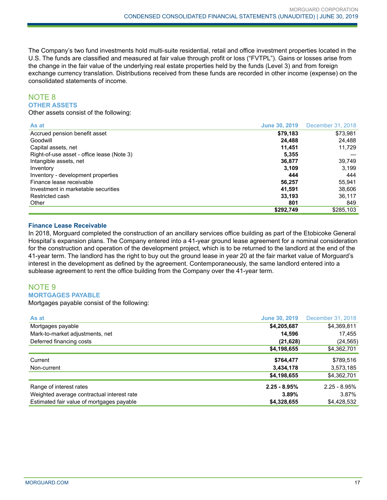The Company's two fund investments hold multi-suite residential, retail and office investment properties located in the U.S. The funds are classified and measured at fair value through profit or loss ("FVTPL"). Gains or losses arise from the change in the fair value of the underlying real estate properties held by the funds (Level 3) and from foreign exchange currency translation. Distributions received from these funds are recorded in other income (expense) on the consolidated statements of income.

## NOTE 8 **OTHER ASSETS**

Other assets consist of the following:

| As at                                      | <b>June 30, 2019</b> | December 31, 2018 |
|--------------------------------------------|----------------------|-------------------|
| Accrued pension benefit asset              | \$79,183             | \$73,981          |
| Goodwill                                   | 24.488               | 24.488            |
| Capital assets, net                        | 11.451               | 11.729            |
| Right-of-use asset - office lease (Note 3) | 5,355                |                   |
| Intangible assets, net                     | 36,877               | 39,749            |
| Inventory                                  | 3.109                | 3.199             |
| Inventory - development properties         | 444                  | 444               |
| Finance lease receivable                   | 56,257               | 55,941            |
| Investment in marketable securities        | 41.591               | 38,606            |
| Restricted cash                            | 33,193               | 36,117            |
| Other                                      | 801                  | 849               |
|                                            | \$292,749            | \$285,103         |

## **Finance Lease Receivable**

In 2018, Morguard completed the construction of an ancillary services office building as part of the Etobicoke General Hospital's expansion plans. The Company entered into a 41-year ground lease agreement for a nominal consideration for the construction and operation of the development project, which is to be returned to the landlord at the end of the 41-year term. The landlord has the right to buy out the ground lease in year 20 at the fair market value of Morguard's interest in the development as defined by the agreement. Contemporaneously, the same landlord entered into a sublease agreement to rent the office building from the Company over the 41-year term.

## NOTE 9 **MORTGAGES PAYABLE**

Mortgages payable consist of the following:

| As at                                      | <b>June 30, 2019</b> | December 31, 2018 |
|--------------------------------------------|----------------------|-------------------|
| Mortgages payable                          | \$4,205,687          | \$4,369,811       |
| Mark-to-market adjustments, net            | 14,596               | 17,455            |
| Deferred financing costs                   | (21, 628)            | (24, 565)         |
|                                            | \$4,198,655          | \$4,362,701       |
| Current                                    | \$764,477            | \$789,516         |
| Non-current                                | 3,434,178            | 3,573,185         |
|                                            | \$4,198,655          | \$4,362,701       |
| Range of interest rates                    | $2.25 - 8.95%$       | $2.25 - 8.95%$    |
| Weighted average contractual interest rate | 3.89%                | 3.87%             |
| Estimated fair value of mortgages payable  | \$4,328,655          | \$4,428,532       |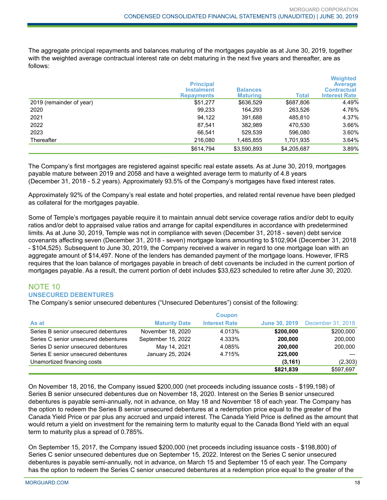The aggregate principal repayments and balances maturing of the mortgages payable as at June 30, 2019, together with the weighted average contractual interest rate on debt maturing in the next five years and thereafter, are as follows:

|                          | <b>Principal</b><br><b>Instalment</b><br><b>Repayments</b> | <b>Balances</b><br><b>Maturing</b> | <b>Total</b> | <b>Weighted</b><br><b>Average</b><br><b>Contractual</b><br><b>Interest Rate</b> |
|--------------------------|------------------------------------------------------------|------------------------------------|--------------|---------------------------------------------------------------------------------|
| 2019 (remainder of year) | \$51,277                                                   | \$636,529                          | \$687,806    | 4.49%                                                                           |
| 2020                     | 99,233                                                     | 164.293                            | 263.526      | 4.76%                                                                           |
| 2021                     | 94,122                                                     | 391,688                            | 485.810      | 4.37%                                                                           |
| 2022                     | 87.541                                                     | 382,989                            | 470,530      | 3.66%                                                                           |
| 2023                     | 66.541                                                     | 529,539                            | 596.080      | 3.60%                                                                           |
| Thereafter               | 216,080                                                    | 1,485,855                          | 1,701,935    | 3.64%                                                                           |
|                          | \$614,794                                                  | \$3,590,893                        | \$4,205,687  | 3.89%                                                                           |

The Company's first mortgages are registered against specific real estate assets. As at June 30, 2019, mortgages payable mature between 2019 and 2058 and have a weighted average term to maturity of 4.8 years (December 31, 2018 - 5.2 years). Approximately 93.5% of the Company's mortgages have fixed interest rates.

Approximately 92% of the Company's real estate and hotel properties, and related rental revenue have been pledged as collateral for the mortgages payable.

Some of Temple's mortgages payable require it to maintain annual debt service coverage ratios and/or debt to equity ratios and/or debt to appraised value ratios and arrange for capital expenditures in accordance with predetermined limits. As at June 30, 2019, Temple was not in compliance with seven (December 31, 2018 - seven) debt service covenants affecting seven (December 31, 2018 - seven) mortgage loans amounting to \$102,904 (December 31, 2018 - \$104,525). Subsequent to June 30, 2019, the Company received a waiver in regard to one mortgage loan with an aggregate amount of \$14,497. None of the lenders has demanded payment of the mortgage loans. However, IFRS requires that the loan balance of mortgages payable in breach of debt covenants be included in the current portion of mortgages payable. As a result, the current portion of debt includes \$33,623 scheduled to retire after June 30, 2020.

## NOTE 10 **UNSECURED DEBENTURES**

The Company's senior unsecured debentures ("Unsecured Debentures") consist of the following:

|                                      |                      | <b>Coupon</b>        |           |                                        |
|--------------------------------------|----------------------|----------------------|-----------|----------------------------------------|
| As at                                | <b>Maturity Date</b> | <b>Interest Rate</b> |           | <b>June 30, 2019</b> December 31, 2018 |
| Series B senior unsecured debentures | November 18, 2020    | 4.013%               | \$200,000 | \$200,000                              |
| Series C senior unsecured debentures | September 15, 2022   | 4.333%               | 200.000   | 200,000                                |
| Series D senior unsecured debentures | May 14, 2021         | 4.085%               | 200,000   | 200,000                                |
| Series E senior unsecured debentures | January 25, 2024     | 4.715%               | 225.000   |                                        |
| Unamortized financing costs          |                      |                      | (3, 161)  | (2,303)                                |
|                                      |                      |                      | \$821,839 | \$597,697                              |

On November 18, 2016, the Company issued \$200,000 (net proceeds including issuance costs - \$199,198) of Series B senior unsecured debentures due on November 18, 2020. Interest on the Series B senior unsecured debentures is payable semi-annually, not in advance, on May 18 and November 18 of each year. The Company has the option to redeem the Series B senior unsecured debentures at a redemption price equal to the greater of the Canada Yield Price or par plus any accrued and unpaid interest. The Canada Yield Price is defined as the amount that would return a yield on investment for the remaining term to maturity equal to the Canada Bond Yield with an equal term to maturity plus a spread of 0.785%.

On September 15, 2017, the Company issued \$200,000 (net proceeds including issuance costs - \$198,800) of Series C senior unsecured debentures due on September 15, 2022. Interest on the Series C senior unsecured debentures is payable semi-annually, not in advance, on March 15 and September 15 of each year. The Company has the option to redeem the Series C senior unsecured debentures at a redemption price equal to the greater of the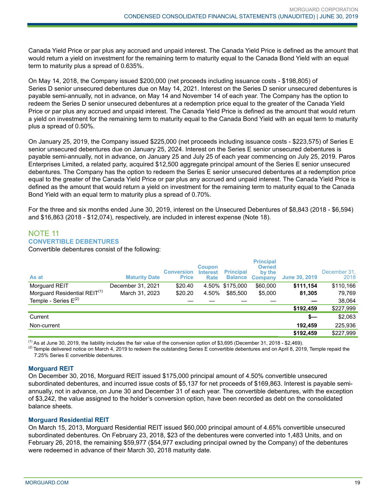Canada Yield Price or par plus any accrued and unpaid interest. The Canada Yield Price is defined as the amount that would return a yield on investment for the remaining term to maturity equal to the Canada Bond Yield with an equal term to maturity plus a spread of 0.635%.

On May 14, 2018, the Company issued \$200,000 (net proceeds including issuance costs - \$198,805) of Series D senior unsecured debentures due on May 14, 2021. Interest on the Series D senior unsecured debentures is payable semi-annually, not in advance, on May 14 and November 14 of each year. The Company has the option to redeem the Series D senior unsecured debentures at a redemption price equal to the greater of the Canada Yield Price or par plus any accrued and unpaid interest. The Canada Yield Price is defined as the amount that would return a yield on investment for the remaining term to maturity equal to the Canada Bond Yield with an equal term to maturity plus a spread of 0.50%.

On January 25, 2019, the Company issued \$225,000 (net proceeds including issuance costs - \$223,575) of Series E senior unsecured debentures due on January 25, 2024. Interest on the Series E senior unsecured debentures is payable semi-annually, not in advance, on January 25 and July 25 of each year commencing on July 25, 2019. Paros Enterprises Limited, a related party, acquired \$12,500 aggregate principal amount of the Series E senior unsecured debentures. The Company has the option to redeem the Series E senior unsecured debentures at a redemption price equal to the greater of the Canada Yield Price or par plus any accrued and unpaid interest. The Canada Yield Price is defined as the amount that would return a yield on investment for the remaining term to maturity equal to the Canada Bond Yield with an equal term to maturity plus a spread of 0.70%.

For the three and six months ended June 30, 2019, interest on the Unsecured Debentures of \$8,843 (2018 - \$6,594) and \$16,863 (2018 - \$12,074), respectively, are included in interest expense (Note 18).

## NOTE 11 **CONVERTIBLE DEBENTURES**

Convertible debentures consist of the following:

| As at                                    | <b>Maturity Date</b> | <b>Conversion</b><br><b>Price</b> | <b>Coupon</b><br><b>Interest</b><br><b>Rate</b> | <b>Principal</b><br><b>Balance</b> | <b>Principal</b><br><b>Owned</b><br>by the<br>Company | <b>June 30, 2019</b> | December 31.<br>2018 |
|------------------------------------------|----------------------|-----------------------------------|-------------------------------------------------|------------------------------------|-------------------------------------------------------|----------------------|----------------------|
| Morguard REIT                            | December 31, 2021    | \$20.40                           |                                                 | 4.50% \$175,000                    | \$60,000                                              | \$111,154            | \$110,166            |
| Morguard Residential REIT <sup>(1)</sup> | March 31, 2023       | \$20.20                           | 4.50%                                           | \$85,500                           | \$5,000                                               | 81,305               | 79,769               |
| Temple - Series $E^{(2)}$                |                      |                                   |                                                 |                                    |                                                       |                      | 38,064               |
|                                          |                      |                                   |                                                 |                                    |                                                       | \$192,459            | \$227,999            |
| Current                                  |                      |                                   |                                                 |                                    |                                                       | $s-$                 | \$2,063              |
| Non-current                              |                      |                                   |                                                 |                                    |                                                       | 192.459              | 225,936              |
|                                          |                      |                                   |                                                 |                                    |                                                       | \$192,459            | \$227,999            |

 $<sup>(1)</sup>$  As at June 30, 2019, the liability includes the fair value of the conversion option of \$3,695 (December 31, 2018 - \$2,469).</sup>

 $^{(2)}$  Temple delivered notice on March 4, 2019 to redeem the outstanding Series E convertible debentures and on April 8, 2019, Temple repaid the 7.25% Series E convertible debentures.

## **Morguard REIT**

On December 30, 2016, Morguard REIT issued \$175,000 principal amount of 4.50% convertible unsecured subordinated debentures, and incurred issue costs of \$5,137 for net proceeds of \$169,863. Interest is payable semiannually, not in advance, on June 30 and December 31 of each year. The convertible debentures, with the exception of \$3,242, the value assigned to the holder's conversion option, have been recorded as debt on the consolidated balance sheets.

## **Morguard Residential REIT**

On March 15, 2013, Morguard Residential REIT issued \$60,000 principal amount of 4.65% convertible unsecured subordinated debentures. On February 23, 2018, \$23 of the debentures were converted into 1,483 Units, and on February 26, 2018, the remaining \$59,977 (\$54,977 excluding principal owned by the Company) of the debentures were redeemed in advance of their March 30, 2018 maturity date.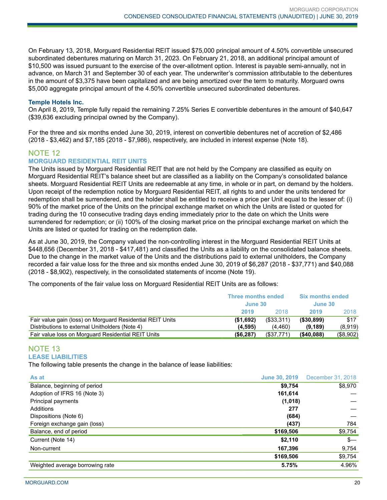On February 13, 2018, Morguard Residential REIT issued \$75,000 principal amount of 4.50% convertible unsecured subordinated debentures maturing on March 31, 2023. On February 21, 2018, an additional principal amount of \$10,500 was issued pursuant to the exercise of the over-allotment option. Interest is payable semi-annually, not in advance, on March 31 and September 30 of each year. The underwriter's commission attributable to the debentures in the amount of \$3,375 have been capitalized and are being amortized over the term to maturity. Morguard owns \$5,000 aggregate principal amount of the 4.50% convertible unsecured subordinated debentures.

#### **Temple Hotels Inc.**

On April 8, 2019, Temple fully repaid the remaining 7.25% Series E convertible debentures in the amount of \$40,647 (\$39,636 excluding principal owned by the Company).

For the three and six months ended June 30, 2019, interest on convertible debentures net of accretion of \$2,486 (2018 - \$3,462) and \$7,185 (2018 - \$7,986), respectively, are included in interest expense (Note 18).

## NOTE 12

## **MORGUARD RESIDENTIAL REIT UNITS**

The Units issued by Morguard Residential REIT that are not held by the Company are classified as equity on Morguard Residential REIT's balance sheet but are classified as a liability on the Company's consolidated balance sheets. Morguard Residential REIT Units are redeemable at any time, in whole or in part, on demand by the holders. Upon receipt of the redemption notice by Morguard Residential REIT, all rights to and under the units tendered for redemption shall be surrendered, and the holder shall be entitled to receive a price per Unit equal to the lesser of: (i) 90% of the market price of the Units on the principal exchange market on which the Units are listed or quoted for trading during the 10 consecutive trading days ending immediately prior to the date on which the Units were surrendered for redemption; or (ii) 100% of the closing market price on the principal exchange market on which the Units are listed or quoted for trading on the redemption date.

As at June 30, 2019, the Company valued the non-controlling interest in the Morguard Residential REIT Units at \$448,656 (December 31, 2018 - \$417,481) and classified the Units as a liability on the consolidated balance sheets. Due to the change in the market value of the Units and the distributions paid to external unitholders, the Company recorded a fair value loss for the three and six months ended June 30, 2019 of \$6,287 (2018 - \$37,771) and \$40,088 (2018 - \$8,902), respectively, in the consolidated statements of income (Note 19).

The components of the fair value loss on Morguard Residential REIT Units are as follows:

|                                                           | <b>Three months ended</b><br>June 30 |               |               | <b>Six months ended</b><br>June 30 |  |
|-----------------------------------------------------------|--------------------------------------|---------------|---------------|------------------------------------|--|
|                                                           | 2019                                 | 2018          | 2019          | 2018                               |  |
| Fair value gain (loss) on Morguard Residential REIT Units | ( \$1,692)                           | $($ \$33,311) | ( \$30, 899)  | \$17                               |  |
| Distributions to external Unitholders (Note 4)            | (4.595)                              | (4.460)       | (9, 189)      | (8,919)                            |  |
| Fair value loss on Morguard Residential REIT Units        | (\$6,287)                            | (\$37,771)    | $($ \$40,088) | $($ \$8,902)                       |  |

## NOTE 13 **LEASE LIABILITIES**

The following table presents the change in the balance of lease liabilities:

| As at                           | <b>June 30, 2019</b> | December 31, 2018 |
|---------------------------------|----------------------|-------------------|
| Balance, beginning of period    | \$9,754              | \$8,970           |
| Adoption of IFRS 16 (Note 3)    | 161,614              |                   |
| Principal payments              | (1,018)              |                   |
| Additions                       | 277                  |                   |
| Dispositions (Note 6)           | (684)                |                   |
| Foreign exchange gain (loss)    | (437)                | 784               |
| Balance, end of period          | \$169,506            | \$9,754           |
| Current (Note 14)               | \$2,110              | $s-$              |
| Non-current                     | 167,396              | 9,754             |
|                                 | \$169,506            | \$9,754           |
| Weighted average borrowing rate | 5.75%                | 4.96%             |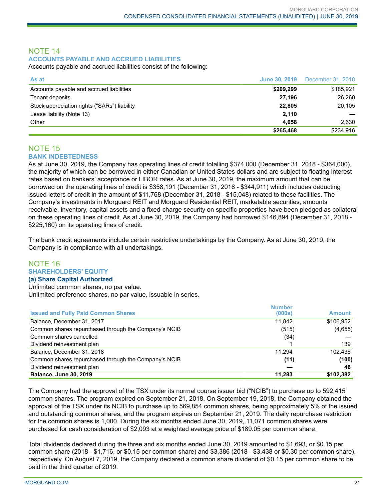## NOTE 14 **ACCOUNTS PAYABLE AND ACCRUED LIABILITIES**

Accounts payable and accrued liabilities consist of the following:

| As at                                        |           | <b>June 30, 2019</b> December 31, 2018 |
|----------------------------------------------|-----------|----------------------------------------|
| Accounts payable and accrued liabilities     | \$209,299 | \$185,921                              |
| Tenant deposits                              | 27.196    | 26.260                                 |
| Stock appreciation rights ("SARs") liability | 22.805    | 20,105                                 |
| Lease liability (Note 13)                    | 2,110     |                                        |
| Other                                        | 4.058     | 2.630                                  |
|                                              | \$265,468 | \$234,916                              |

## NOTE 15 **BANK INDEBTEDNESS**

As at June 30, 2019, the Company has operating lines of credit totalling \$374,000 (December 31, 2018 - \$364,000), the majority of which can be borrowed in either Canadian or United States dollars and are subject to floating interest rates based on bankers' acceptance or LIBOR rates. As at June 30, 2019, the maximum amount that can be borrowed on the operating lines of credit is \$358,191 (December 31, 2018 - \$344,911) which includes deducting issued letters of credit in the amount of \$11,768 (December 31, 2018 - \$15,048) related to these facilities. The Company's investments in Morguard REIT and Morguard Residential REIT, marketable securities, amounts receivable, inventory, capital assets and a fixed-charge security on specific properties have been pledged as collateral on these operating lines of credit. As at June 30, 2019, the Company had borrowed \$146,894 (December 31, 2018 - \$225,160) on its operating lines of credit.

The bank credit agreements include certain restrictive undertakings by the Company. As at June 30, 2019, the Company is in compliance with all undertakings.

## NOTE 16 **SHAREHOLDERS' EQUITY**

#### **(a) Share Capital Authorized**

Unlimited common shares, no par value. Unlimited preference shares, no par value, issuable in series.

|                                                      | <b>Number</b> |               |
|------------------------------------------------------|---------------|---------------|
| <b>Issued and Fully Paid Common Shares</b>           | (000s)        | <b>Amount</b> |
| Balance, December 31, 2017                           | 11.842        | \$106.952     |
| Common shares repurchased through the Company's NCIB | (515)         | (4,655)       |
| Common shares cancelled                              | (34)          |               |
| Dividend reinvestment plan                           |               | 139           |
| Balance, December 31, 2018                           | 11.294        | 102.436       |
| Common shares repurchased through the Company's NCIB | (11)          | (100)         |
| Dividend reinvestment plan                           |               | 46            |
| <b>Balance, June 30, 2019</b>                        | 11,283        | \$102,382     |

The Company had the approval of the TSX under its normal course issuer bid ("NCIB") to purchase up to 592,415 common shares. The program expired on September 21, 2018. On September 19, 2018, the Company obtained the approval of the TSX under its NCIB to purchase up to 569,854 common shares, being approximately 5% of the issued and outstanding common shares, and the program expires on September 21, 2019. The daily repurchase restriction for the common shares is 1,000. During the six months ended June 30, 2019, 11,071 common shares were purchased for cash consideration of \$2,093 at a weighted average price of \$189.05 per common share.

Total dividends declared during the three and six months ended June 30, 2019 amounted to \$1,693, or \$0.15 per common share (2018 - \$1,716, or \$0.15 per common share) and \$3,386 (2018 - \$3,438 or \$0.30 per common share), respectively. On August 7, 2019, the Company declared a common share dividend of \$0.15 per common share to be paid in the third quarter of 2019.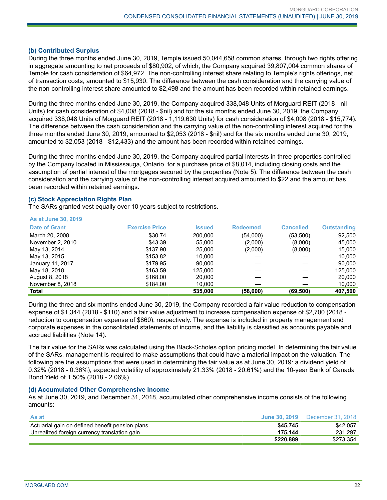#### **(b) Contributed Surplus**

During the three months ended June 30, 2019, Temple issued 50,044,658 common shares through two rights offering in aggregate amounting to net proceeds of \$80,902, of which, the Company acquired 39,807,004 common shares of Temple for cash consideration of \$64,972. The non-controlling interest share relating to Temple's rights offerings, net of transaction costs, amounted to \$15,930. The difference between the cash consideration and the carrying value of the non-controlling interest share amounted to \$2,498 and the amount has been recorded within retained earnings.

During the three months ended June 30, 2019, the Company acquired 338,048 Units of Morguard REIT (2018 - nil Units) for cash consideration of \$4,008 (2018 - \$nil) and for the six months ended June 30, 2019, the Company acquired 338,048 Units of Morguard REIT (2018 - 1,119,630 Units) for cash consideration of \$4,008 (2018 - \$15,774). The difference between the cash consideration and the carrying value of the non-controlling interest acquired for the three months ended June 30, 2019, amounted to \$2,053 (2018 - \$nil) and for the six months ended June 30, 2019, amounted to \$2,053 (2018 - \$12,433) and the amount has been recorded within retained earnings.

During the three months ended June 30, 2019, the Company acquired partial interests in three properties controlled by the Company located in Mississauga, Ontario, for a purchase price of \$8,014, including closing costs and the assumption of partial interest of the mortgages secured by the properties (Note 5). The difference between the cash consideration and the carrying value of the non-controlling interest acquired amounted to \$22 and the amount has been recorded within retained earnings.

#### **(c) Stock Appreciation Rights Plan**

The SARs granted vest equally over 10 years subject to restrictions.

#### **As at June 30, 2019**

| <b>Date of Grant</b> | <b>Exercise Price</b> | <b>Issued</b> | <b>Redeemed</b> | <b>Cancelled</b> | <b>Outstanding</b> |
|----------------------|-----------------------|---------------|-----------------|------------------|--------------------|
| March 20, 2008       | \$30.74               | 200.000       | (54,000)        | (53,500)         | 92,500             |
| November 2, 2010     | \$43.39               | 55,000        | (2,000)         | (8,000)          | 45,000             |
| May 13, 2014         | \$137.90              | 25,000        | (2,000)         | (8,000)          | 15.000             |
| May 13, 2015         | \$153.82              | 10.000        |                 |                  | 10.000             |
| January 11, 2017     | \$179.95              | 90,000        |                 |                  | 90,000             |
| May 18, 2018         | \$163.59              | 125.000       |                 |                  | 125,000            |
| August 8, 2018       | \$168.00              | 20,000        |                 |                  | 20,000             |
| November 8, 2018     | \$184.00              | 10,000        |                 |                  | 10,000             |
| <b>Total</b>         |                       | 535.000       | (58,000)        | (69, 500)        | 407,500            |

During the three and six months ended June 30, 2019, the Company recorded a fair value reduction to compensation expense of \$1,344 (2018 - \$110) and a fair value adjustment to increase compensation expense of \$2,700 (2018 reduction to compensation expense of \$860), respectively. The expense is included in property management and corporate expenses in the consolidated statements of income, and the liability is classified as accounts payable and accrued liabilities (Note 14).

The fair value for the SARs was calculated using the Black-Scholes option pricing model. In determining the fair value of the SARs, management is required to make assumptions that could have a material impact on the valuation. The following are the assumptions that were used in determining the fair value as at June 30, 2019: a dividend yield of 0.32% (2018 - 0.36%), expected volatility of approximately 21.33% (2018 - 20.61%) and the 10-year Bank of Canada Bond Yield of 1.50% (2018 - 2.06%).

#### **(d) Accumulated Other Comprehensive Income**

As at June 30, 2019, and December 31, 2018, accumulated other comprehensive income consists of the following amounts:

| \$45,745  | \$42.057  |
|-----------|-----------|
| 175.144   | 231.297   |
| \$220.889 | \$273.354 |
|           |           |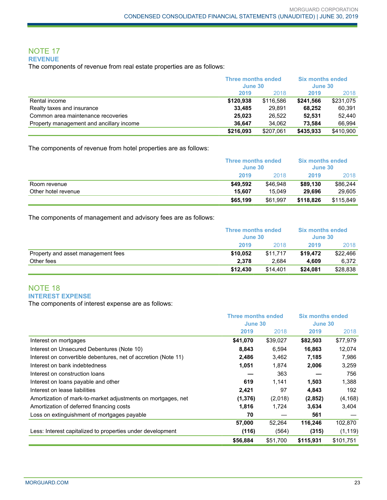#### NOTE 17 **REVENUE**

The components of revenue from real estate properties are as follows:

|                                          |           | <b>Three months ended</b><br>June 30 |           | <b>Six months ended</b><br>June 30 |  |
|------------------------------------------|-----------|--------------------------------------|-----------|------------------------------------|--|
|                                          | 2019      | 2018                                 | 2019      | 2018                               |  |
| Rental income                            | \$120,938 | \$116.586                            | \$241.566 | \$231,075                          |  |
| Realty taxes and insurance               | 33,485    | 29.891                               | 68.252    | 60,391                             |  |
| Common area maintenance recoveries       | 25.023    | 26.522                               | 52.531    | 52.440                             |  |
| Property management and ancillary income | 36.647    | 34.062                               | 73.584    | 66.994                             |  |
|                                          | \$216,093 | \$207.061                            | \$435,933 | \$410,900                          |  |

The components of revenue from hotel properties are as follows:

|                     |          | Three months ended<br><b>Six months ended</b><br>June 30<br>June 30 |           |           |
|---------------------|----------|---------------------------------------------------------------------|-----------|-----------|
|                     | 2019     | 2018                                                                | 2019      | 2018      |
| Room revenue        | \$49.592 | \$46.948                                                            | \$89.130  | \$86,244  |
| Other hotel revenue | 15.607   | 15.049                                                              | 29.696    | 29.605    |
|                     | \$65,199 | \$61,997                                                            | \$118.826 | \$115,849 |

The components of management and advisory fees are as follows:

|                                    | <b>Six months ended</b><br><b>Three months ended</b><br>June 30<br>June 30 |          |          |          |
|------------------------------------|----------------------------------------------------------------------------|----------|----------|----------|
|                                    | 2019                                                                       | 2018     | 2019     | 2018     |
| Property and asset management fees | \$10.052                                                                   | \$11.717 | \$19,472 | \$22,466 |
| Other fees                         | 2.378                                                                      | 2.684    | 4.609    | 6,372    |
|                                    | \$12,430                                                                   | \$14.401 | \$24,081 | \$28,838 |

## NOTE 18 **INTEREST EXPENSE**

The components of interest expense are as follows:

|                                                                | <b>Three months ended</b><br>June 30 |          | <b>Six months ended</b> |           |
|----------------------------------------------------------------|--------------------------------------|----------|-------------------------|-----------|
|                                                                |                                      |          | June 30                 |           |
|                                                                | 2019                                 | 2018     | 2019                    | 2018      |
| Interest on mortgages                                          | \$41,070                             | \$39,027 | \$82,503                | \$77,979  |
| Interest on Unsecured Debentures (Note 10)                     | 8,843                                | 6,594    | 16,863                  | 12,074    |
| Interest on convertible debentures, net of accretion (Note 11) | 2,486                                | 3,462    | 7,185                   | 7,986     |
| Interest on bank indebtedness                                  | 1,051                                | 1,874    | 2,006                   | 3,259     |
| Interest on construction loans                                 |                                      | 363      |                         | 756       |
| Interest on loans payable and other                            | 619                                  | 1,141    | 1,503                   | 1,388     |
| Interest on lease liabilities                                  | 2,421                                | 97       | 4,843                   | 192       |
| Amortization of mark-to-market adjustments on mortgages, net   | (1, 376)                             | (2,018)  | (2,852)                 | (4, 168)  |
| Amortization of deferred financing costs                       | 1,816                                | 1,724    | 3,634                   | 3,404     |
| Loss on extinguishment of mortgages payable                    | 70                                   |          | 561                     |           |
|                                                                | 57,000                               | 52,264   | 116,246                 | 102,870   |
| Less: Interest capitalized to properties under development     | (116)                                | (564)    | (315)                   | (1, 119)  |
|                                                                | \$56,884                             | \$51.700 | \$115,931               | \$101.751 |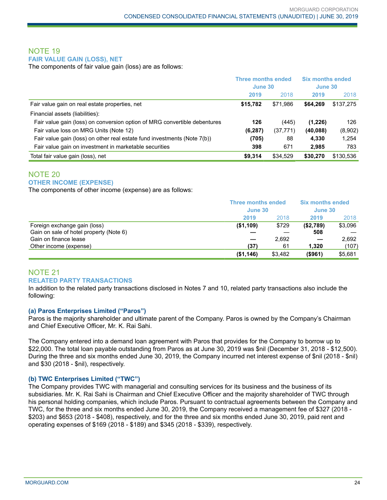## NOTE 19 **FAIR VALUE GAIN (LOSS), NET**

The components of fair value gain (loss) are as follows:

|                                                                           | <b>Three months ended</b><br>June 30 |           | <b>Six months ended</b><br>June 30 |           |
|---------------------------------------------------------------------------|--------------------------------------|-----------|------------------------------------|-----------|
|                                                                           | 2019                                 | 2018      | 2019                               | 2018      |
| Fair value gain on real estate properties, net                            | \$15,782                             | \$71.986  | \$64.269                           | \$137,275 |
| Financial assets (liabilities):                                           |                                      |           |                                    |           |
| Fair value gain (loss) on conversion option of MRG convertible debentures | 126                                  | (445)     | (1,226)                            | 126       |
| Fair value loss on MRG Units (Note 12)                                    | (6, 287)                             | (37, 771) | (40,088)                           | (8,902)   |
| Fair value gain (loss) on other real estate fund investments (Note 7(b))  | (705)                                | 88        | 4.330                              | 1,254     |
| Fair value gain on investment in marketable securities                    | 398                                  | 671       | 2.985                              | 783       |
| Total fair value gain (loss), net                                         | \$9,314                              | \$34,529  | \$30,270                           | \$130,536 |

## NOTE 20 **OTHER INCOME (EXPENSE)**

The components of other income (expense) are as follows:

|                                         | <b>Three months ended</b><br>June 30 |         | <b>Six months ended</b><br>June 30 |         |
|-----------------------------------------|--------------------------------------|---------|------------------------------------|---------|
|                                         | 2019                                 | 2018    | 2019                               | 2018    |
| Foreign exchange gain (loss)            | (\$1,109)                            | \$729   | (\$2,789)                          | \$3,096 |
| Gain on sale of hotel property (Note 6) |                                      |         | 508                                |         |
| Gain on finance lease                   |                                      | 2.692   |                                    | 2.692   |
| Other income (expense)                  | (37)                                 | 61      | 1,320                              | (107)   |
|                                         | (\$1,146)                            | \$3,482 | (\$961)                            | \$5,681 |

## NOTE 21 **RELATED PARTY TRANSACTIONS**

In addition to the related party transactions disclosed in Notes 7 and 10, related party transactions also include the following:

## **(a) Paros Enterprises Limited ("Paros")**

Paros is the majority shareholder and ultimate parent of the Company. Paros is owned by the Company's Chairman and Chief Executive Officer, Mr. K. Rai Sahi.

The Company entered into a demand loan agreement with Paros that provides for the Company to borrow up to \$22,000. The total loan payable outstanding from Paros as at June 30, 2019 was \$nil (December 31, 2018 - \$12,500). During the three and six months ended June 30, 2019, the Company incurred net interest expense of \$nil (2018 - \$nil) and \$30 (2018 - \$nil), respectively.

## **(b) TWC Enterprises Limited ("TWC")**

The Company provides TWC with managerial and consulting services for its business and the business of its subsidiaries. Mr. K. Rai Sahi is Chairman and Chief Executive Officer and the majority shareholder of TWC through his personal holding companies, which include Paros. Pursuant to contractual agreements between the Company and TWC, for the three and six months ended June 30, 2019, the Company received a management fee of \$327 (2018 - \$203) and \$653 (2018 - \$408), respectively, and for the three and six months ended June 30, 2019, paid rent and operating expenses of \$169 (2018 - \$189) and \$345 (2018 - \$339), respectively.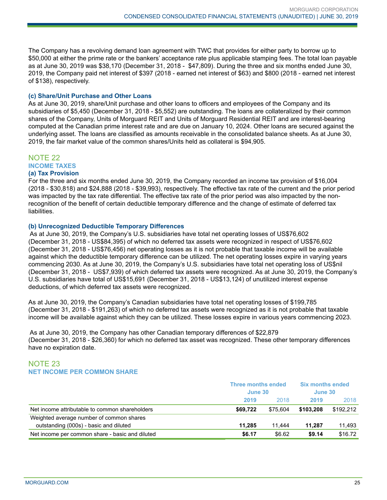The Company has a revolving demand loan agreement with TWC that provides for either party to borrow up to \$50,000 at either the prime rate or the bankers' acceptance rate plus applicable stamping fees. The total loan payable as at June 30, 2019 was \$38,170 (December 31, 2018 - \$47,809). During the three and six months ended June 30, 2019, the Company paid net interest of \$397 (2018 - earned net interest of \$63) and \$800 (2018 - earned net interest of \$138), respectively.

#### **(c) Share/Unit Purchase and Other Loans**

As at June 30, 2019, share/Unit purchase and other loans to officers and employees of the Company and its subsidiaries of \$5,450 (December 31, 2018 - \$5,552) are outstanding. The loans are collateralized by their common shares of the Company, Units of Morguard REIT and Units of Morguard Residential REIT and are interest-bearing computed at the Canadian prime interest rate and are due on January 10, 2024. Other loans are secured against the underlying asset. The loans are classified as amounts receivable in the consolidated balance sheets. As at June 30, 2019, the fair market value of the common shares/Units held as collateral is \$94,905.

## NOTE 22

**INCOME TAXES**

#### **(a) Tax Provision**

For the three and six months ended June 30, 2019, the Company recorded an income tax provision of \$16,004 (2018 - \$30,818) and \$24,888 (2018 - \$39,993), respectively. The effective tax rate of the current and the prior period was impacted by the tax rate differential. The effective tax rate of the prior period was also impacted by the nonrecognition of the benefit of certain deductible temporary difference and the change of estimate of deferred tax liabilities.

#### **(b) Unrecognized Deductible Temporary Differences**

As at June 30, 2019, the Company's U.S. subsidiaries have total net operating losses of US\$76,602 (December 31, 2018 - US\$84,395) of which no deferred tax assets were recognized in respect of US\$76,602 (December 31, 2018 - US\$76,456) net operating losses as it is not probable that taxable income will be available against which the deductible temporary difference can be utilized. The net operating losses expire in varying years commencing 2030. As at June 30, 2019, the Company's U.S. subsidiaries have total net operating loss of US\$nil (December 31, 2018 - US\$7,939) of which deferred tax assets were recognized. As at June 30, 2019, the Company's U.S. subsidiaries have total of US\$15,691 (December 31, 2018 - US\$13,124) of unutilized interest expense deductions, of which deferred tax assets were recognized.

As at June 30, 2019, the Company's Canadian subsidiaries have total net operating losses of \$199,785 (December 31, 2018 - \$191,263) of which no deferred tax assets were recognized as it is not probable that taxable income will be available against which they can be utilized. These losses expire in various years commencing 2023.

As at June 30, 2019, the Company has other Canadian temporary differences of \$22,879 (December 31, 2018 - \$26,360) for which no deferred tax asset was recognized. These other temporary differences have no expiration date.

## NOTE 23 **NET INCOME PER COMMON SHARE**

|                                                 | <b>Three months ended</b><br>June 30 |          | <b>Six months ended</b><br>June 30 |           |
|-------------------------------------------------|--------------------------------------|----------|------------------------------------|-----------|
|                                                 | 2019                                 | 2018     | 2019                               | 2018      |
| Net income attributable to common shareholders  | \$69.722                             | \$75.604 | \$103.208                          | \$192.212 |
| Weighted average number of common shares        |                                      |          |                                    |           |
| outstanding (000s) - basic and diluted          | 11.285                               | 11.444   | 11.287                             | 11,493    |
| Net income per common share - basic and diluted | \$6.17                               | \$6.62   | \$9.14                             | \$16.72   |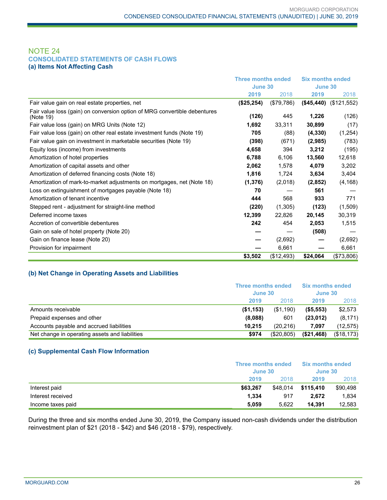## NOTE 24 **CONSOLIDATED STATEMENTS OF CASH FLOWS (a) Items Not Affecting Cash**

|                                                                                        | <b>Three months ended</b> |            | <b>Six months ended</b> |             |
|----------------------------------------------------------------------------------------|---------------------------|------------|-------------------------|-------------|
|                                                                                        | June 30                   |            | June 30                 |             |
|                                                                                        | 2019                      | 2018       | 2019                    | 2018        |
| Fair value gain on real estate properties, net                                         | (\$25,254)                | (\$79,786) | (\$45,440)              | (\$121,552) |
| Fair value loss (gain) on conversion option of MRG convertible debentures<br>(Note 19) | (126)                     | 445        | 1,226                   | (126)       |
| Fair value loss (gain) on MRG Units (Note 12)                                          | 1,692                     | 33,311     | 30,899                  | (17)        |
| Fair value loss (gain) on other real estate investment funds (Note 19)                 | 705                       | (88)       | (4, 330)                | (1, 254)    |
| Fair value gain on investment in marketable securities (Note 19)                       | (398)                     | (671)      | (2,985)                 | (783)       |
| Equity loss (income) from investments                                                  | 4,658                     | 394        | 3,212                   | (195)       |
| Amortization of hotel properties                                                       | 6,788                     | 6,106      | 13,560                  | 12,618      |
| Amortization of capital assets and other                                               | 2,062                     | 1,578      | 4,079                   | 3,202       |
| Amortization of deferred financing costs (Note 18)                                     | 1,816                     | 1,724      | 3,634                   | 3,404       |
| Amortization of mark-to-market adjustments on mortgages, net (Note 18)                 | (1, 376)                  | (2,018)    | (2,852)                 | (4, 168)    |
| Loss on extinguishment of mortgages payable (Note 18)                                  | 70                        |            | 561                     |             |
| Amortization of tenant incentive                                                       | 444                       | 568        | 933                     | 771         |
| Stepped rent - adjustment for straight-line method                                     | (220)                     | (1,305)    | (123)                   | (1,509)     |
| Deferred income taxes                                                                  | 12,399                    | 22,826     | 20,145                  | 30,319      |
| Accretion of convertible debentures                                                    | 242                       | 454        | 2,053                   | 1,515       |
| Gain on sale of hotel property (Note 20)                                               |                           |            | (508)                   |             |
| Gain on finance lease (Note 20)                                                        |                           | (2,692)    |                         | (2,692)     |
| Provision for impairment                                                               |                           | 6,661      | –                       | 6,661       |
|                                                                                        | \$3,502                   | (\$12,493) | \$24,064                | (\$73,806)  |

## **(b) Net Change in Operating Assets and Liabilities**

|                                                | Three months ended<br>June 30 |            | <b>Six months ended</b><br>June 30 |            |
|------------------------------------------------|-------------------------------|------------|------------------------------------|------------|
|                                                | 2019                          | 2018       | 2019                               | 2018       |
| Amounts receivable                             | (\$1,153)                     | (\$1,190)  | ( \$5,553)                         | \$2,573    |
| Prepaid expenses and other                     | (8.088)                       | 601        | (23.012)                           | (8, 171)   |
| Accounts payable and accrued liabilities       | 10.215                        | (20.216)   | 7.097                              | (12, 575)  |
| Net change in operating assets and liabilities | \$974                         | (\$20,805) | (\$21,468)                         | (\$18,173) |

#### **(c) Supplemental Cash Flow Information**

|                   | <b>Three months ended</b><br>June 30 |          | <b>Six months ended</b><br>June 30 |          |  |
|-------------------|--------------------------------------|----------|------------------------------------|----------|--|
|                   | 2019                                 | 2018     | 2019                               | 2018     |  |
| Interest paid     | \$63.267                             | \$48,014 | \$115,410                          | \$90,498 |  |
| Interest received | 1.334                                | 917      | 2.672                              | 1.834    |  |
| Income taxes paid | 5,059                                | 5.622    | 14.391                             | 12,583   |  |

During the three and six months ended June 30, 2019, the Company issued non-cash dividends under the distribution reinvestment plan of \$21 (2018 - \$42) and \$46 (2018 - \$79), respectively.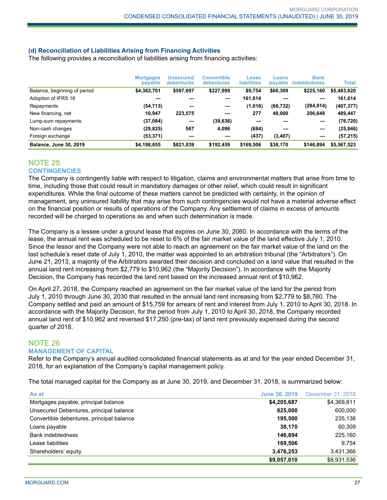## **(d) Reconciliation of Liabilities Arising from Financing Activities**

The following provides a reconciliation of liabilities arising from financing activities:

|                               | <b>Mortgages</b><br>payable | <b>Unsecured</b><br><b>debentures</b> | <b>Convertible</b><br><b>debentures</b> | Lease<br><b>liabilities</b> | Loans<br>payable | <b>Bank</b><br><b>indebtedness</b> | Total       |
|-------------------------------|-----------------------------|---------------------------------------|-----------------------------------------|-----------------------------|------------------|------------------------------------|-------------|
| Balance, beginning of period  | \$4,362,701                 | \$597,697                             | \$227,999                               | \$9,754                     | \$60,309         | \$225,160                          | \$5,483,620 |
| Adoption of IFRS 16           |                             |                                       |                                         | 161,614                     |                  |                                    | 161,614     |
| Repayments                    | (54, 713)                   |                                       |                                         | (1,018)                     | (66, 732)        | (284, 914)                         | (407, 377)  |
| New financing, net            | 10.947                      | 223,575                               |                                         | 277                         | 48.000           | 206.648                            | 489,447     |
| Lump-sum repayments           | (37,084)                    |                                       | (39, 636)                               |                             |                  |                                    | (76, 720)   |
| Non-cash changes              | (29, 825)                   | 567                                   | 4.096                                   | (684)                       |                  |                                    | (25,846)    |
| Foreign exchange              | (53, 371)                   |                                       |                                         | (437)                       | (3, 407)         |                                    | (57, 215)   |
| <b>Balance, June 30, 2019</b> | \$4,198,655                 | \$821.839                             | \$192.459                               | \$169,506                   | \$38,170         | \$146.894                          | \$5,567,523 |

## NOTE 25

## **CONTINGENCIES**

The Company is contingently liable with respect to litigation, claims and environmental matters that arise from time to time, including those that could result in mandatory damages or other relief, which could result in significant expenditures. While the final outcome of these matters cannot be predicted with certainty, in the opinion of management, any uninsured liability that may arise from such contingencies would not have a material adverse effect on the financial position or results of operations of the Company. Any settlement of claims in excess of amounts recorded will be charged to operations as and when such determination is made.

The Company is a lessee under a ground lease that expires on June 30, 2060. In accordance with the terms of the lease, the annual rent was scheduled to be reset to 6% of the fair market value of the land effective July 1, 2010. Since the lessor and the Company were not able to reach an agreement on the fair market value of the land on the last schedule's reset date of July 1, 2010, the matter was appointed to an arbitration tribunal (the "Arbitrators"). On June 21, 2013, a majority of the Arbitrators awarded their decision and concluded on a land value that resulted in the annual land rent increasing from \$2,779 to \$10,962 (the "Majority Decision"). In accordance with the Majority Decision, the Company has recorded the land rent based on the increased annual rent of \$10,962.

On April 27, 2018, the Company reached an agreement on the fair market value of the land for the period from July 1, 2010 through June 30, 2030 that resulted in the annual land rent increasing from \$2,779 to \$8,760. The Company settled and paid an amount of \$15,759 for arrears of rent and interest from July 1, 2010 to April 30, 2018. In accordance with the Majority Decision, for the period from July 1, 2010 to April 30, 2018, the Company recorded annual land rent of \$10,962 and reversed \$17,250 (pre-tax) of land rent previously expensed during the second quarter of 2018.

## NOTE 26 **MANAGEMENT OF CAPITAL**

Refer to the Company's annual audited consolidated financial statements as at and for the year ended December 31, 2018, for an explanation of the Company's capital management policy.

The total managed capital for the Company as at June 30, 2019, and December 31, 2018, is summarized below:

| As at                                     | <b>June 30, 2019</b> | December 31, 2018 |
|-------------------------------------------|----------------------|-------------------|
| Mortgages payable, principal balance      | \$4,205,687          | \$4,369,811       |
| Unsecured Debentures, principal balance   | 825,000              | 600,000           |
| Convertible debentures, principal balance | 195.500              | 235,136           |
| Loans payable                             | 38,170               | 60,309            |
| <b>Bank indebtedness</b>                  | 146.894              | 225,160           |
| Lease liabilities                         | 169.506              | 9.754             |
| Shareholders' equity                      | 3,476,253            | 3,431,366         |
|                                           | \$9,057,010          | \$8,931,536       |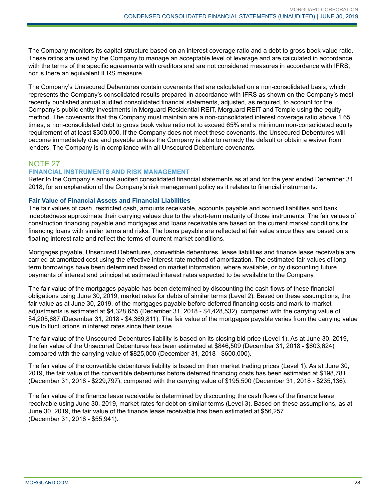The Company monitors its capital structure based on an interest coverage ratio and a debt to gross book value ratio. These ratios are used by the Company to manage an acceptable level of leverage and are calculated in accordance with the terms of the specific agreements with creditors and are not considered measures in accordance with IFRS; nor is there an equivalent IFRS measure.

The Company's Unsecured Debentures contain covenants that are calculated on a non-consolidated basis, which represents the Company's consolidated results prepared in accordance with IFRS as shown on the Company's most recently published annual audited consolidated financial statements, adjusted, as required, to account for the Company's public entity investments in Morguard Residential REIT, Morguard REIT and Temple using the equity method. The covenants that the Company must maintain are a non-consolidated interest coverage ratio above 1.65 times, a non-consolidated debt to gross book value ratio not to exceed 65% and a minimum non-consolidated equity requirement of at least \$300,000. If the Company does not meet these covenants, the Unsecured Debentures will become immediately due and payable unless the Company is able to remedy the default or obtain a waiver from lenders. The Company is in compliance with all Unsecured Debenture covenants.

# NOTE 27

## **FINANCIAL INSTRUMENTS AND RISK MANAGEMENT**

Refer to the Company's annual audited consolidated financial statements as at and for the year ended December 31, 2018, for an explanation of the Company's risk management policy as it relates to financial instruments.

## **Fair Value of Financial Assets and Financial Liabilities**

The fair values of cash, restricted cash, amounts receivable, accounts payable and accrued liabilities and bank indebtedness approximate their carrying values due to the short-term maturity of those instruments. The fair values of construction financing payable and mortgages and loans receivable are based on the current market conditions for financing loans with similar terms and risks. The loans payable are reflected at fair value since they are based on a floating interest rate and reflect the terms of current market conditions.

Mortgages payable, Unsecured Debentures, convertible debentures, lease liabilities and finance lease receivable are carried at amortized cost using the effective interest rate method of amortization. The estimated fair values of longterm borrowings have been determined based on market information, where available, or by discounting future payments of interest and principal at estimated interest rates expected to be available to the Company.

The fair value of the mortgages payable has been determined by discounting the cash flows of these financial obligations using June 30, 2019, market rates for debts of similar terms (Level 2). Based on these assumptions, the fair value as at June 30, 2019, of the mortgages payable before deferred financing costs and mark-to-market adjustments is estimated at \$4,328,655 (December 31, 2018 - \$4,428,532), compared with the carrying value of \$4,205,687 (December 31, 2018 - \$4,369,811). The fair value of the mortgages payable varies from the carrying value due to fluctuations in interest rates since their issue.

The fair value of the Unsecured Debentures liability is based on its closing bid price (Level 1). As at June 30, 2019, the fair value of the Unsecured Debentures has been estimated at \$846,509 (December 31, 2018 - \$603,624) compared with the carrying value of \$825,000 (December 31, 2018 - \$600,000).

The fair value of the convertible debentures liability is based on their market trading prices (Level 1). As at June 30, 2019, the fair value of the convertible debentures before deferred financing costs has been estimated at \$198,781 (December 31, 2018 - \$229,797), compared with the carrying value of \$195,500 (December 31, 2018 - \$235,136).

The fair value of the finance lease receivable is determined by discounting the cash flows of the finance lease receivable using June 30, 2019, market rates for debt on similar terms (Level 3). Based on these assumptions, as at June 30, 2019, the fair value of the finance lease receivable has been estimated at \$56,257 (December 31, 2018 - \$55,941).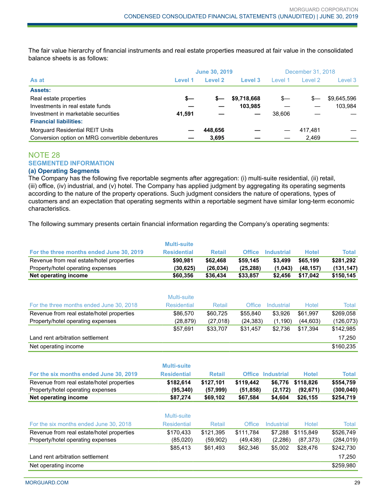The fair value hierarchy of financial instruments and real estate properties measured at fair value in the consolidated balance sheets is as follows:

|                                                 | <b>June 30, 2019</b> |         |             | December 31, 2018 |         |             |
|-------------------------------------------------|----------------------|---------|-------------|-------------------|---------|-------------|
| As at                                           | Level 1              | Level 2 | Level 3     | Level 1           | Level 2 | Level 3     |
| <b>Assets:</b>                                  |                      |         |             |                   |         |             |
| Real estate properties                          | s—                   | s—      | \$9,718,668 | $s-$              | $s-$    | \$9,645,596 |
| Investments in real estate funds                |                      |         | 103.985     |                   |         | 103.984     |
| Investment in marketable securities             | 41.591               |         |             | 38.606            |         |             |
| <b>Financial liabilities:</b>                   |                      |         |             |                   |         |             |
| Morguard Residential REIT Units                 |                      | 448.656 |             |                   | 417.481 |             |
| Conversion option on MRG convertible debentures |                      | 3.695   |             |                   | 2.469   |             |

## NOTE 28 **SEGMENTED INFORMATION**

## **(a) Operating Segments**

The Company has the following five reportable segments after aggregation: (i) multi-suite residential, (ii) retail, (iii) office, (iv) industrial, and (v) hotel. The Company has applied judgment by aggregating its operating segments according to the nature of the property operations. Such judgment considers the nature of operations, types of customers and an expectation that operating segments within a reportable segment have similar long-term economic characteristics.

The following summary presents certain financial information regarding the Company's operating segments:

|                                           | <b>Multi-suite</b> |               |               |                          |              |              |
|-------------------------------------------|--------------------|---------------|---------------|--------------------------|--------------|--------------|
| For the three months ended June 30, 2019  | <b>Residential</b> | <b>Retail</b> | <b>Office</b> | <b>Industrial</b>        | <b>Hotel</b> | <b>Total</b> |
| Revenue from real estate/hotel properties | \$90,981           | \$62,468      | \$59,145      | \$3,499                  | \$65,199     | \$281,292    |
| Property/hotel operating expenses         | (30, 625)          | (26, 034)     | (25, 288)     | (1,043)                  | (48, 157)    | (131, 147)   |
| Net operating income                      | \$60,356           | \$36,434      | \$33,857      | \$2,456                  | \$17,042     | \$150,145    |
|                                           |                    |               |               |                          |              |              |
|                                           | Multi-suite        |               |               |                          |              |              |
| For the three months ended June 30, 2018  | <b>Residential</b> | Retail        | Office        | Industrial               | Hotel        | Total        |
| Revenue from real estate/hotel properties | \$86,570           | \$60,725      | \$55,840      | \$3,926                  | \$61,997     | \$269,058    |
| Property/hotel operating expenses         | (28, 879)          | (27, 018)     | (24, 383)     | (1, 190)                 | (44, 603)    | (126, 073)   |
|                                           | \$57,691           | \$33,707      | \$31,457      | \$2,736                  | \$17,394     | \$142,985    |
| Land rent arbitration settlement          |                    |               |               |                          |              | 17,250       |
| Net operating income                      |                    |               |               |                          |              | \$160,235    |
|                                           |                    |               |               |                          |              |              |
|                                           | <b>Multi-suite</b> |               |               |                          |              |              |
| For the six months ended June 30, 2019    | <b>Residential</b> | <b>Retail</b> |               | <b>Office Industrial</b> | <b>Hotel</b> | <b>Total</b> |
| Revenue from real estate/hotel properties | \$182,614          | \$127,101     | \$119,442     | \$6,776                  | \$118,826    | \$554,759    |
| Property/hotel operating expenses         | (95, 340)          | (57,999)      | (51, 858)     | (2, 172)                 | (92, 671)    | (300, 040)   |
| Net operating income                      | \$87,274           | \$69,102      | \$67,584      | \$4,604                  | \$26,155     | \$254,719    |
|                                           | Multi-suite        |               |               |                          |              |              |
| For the six months ended June 30, 2018    | <b>Residential</b> | Retail        | <b>Office</b> | <b>Industrial</b>        | <b>Hotel</b> | <b>Total</b> |
| Revenue from real estate/hotel properties | \$170,433          | \$121,395     | \$111,784     | \$7,288                  | \$115,849    | \$526,749    |
| Property/hotel operating expenses         | (85,020)           | (59,902)      | (49, 438)     | (2, 286)                 | (87, 373)    | (284, 019)   |
|                                           | \$85,413           | \$61,493      | \$62,346      | \$5,002                  | \$28,476     | \$242,730    |
| Land rent arbitration settlement          |                    |               |               |                          |              | 17,250       |
| Net operating income                      |                    |               |               |                          |              | \$259,980    |